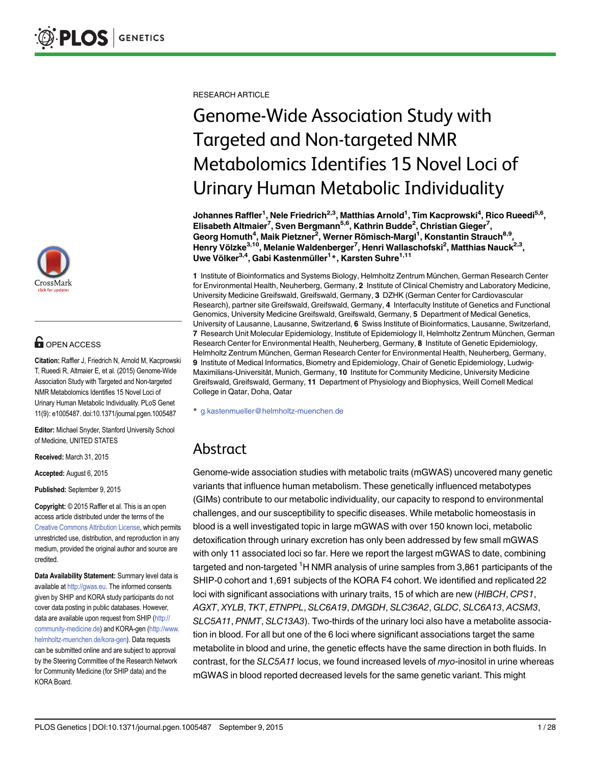

## **OPEN ACCESS**

Citation: Raffler J, Friedrich N, Arnold M, Kacprowski T, Rueedi R, Altmaier E, et al. (2015) Genome-Wide Association Study with Targeted and Non-targeted NMR Metabolomics Identifies 15 Novel Loci of Urinary Human Metabolic Individuality. PLoS Genet 11(9): e1005487. doi:10.1371/journal.pgen.1005487

Editor: Michael Snyder, Stanford University School of Medicine, UNITED STATES

Received: March 31, 2015

Accepted: August 6, 2015

Published: September 9, 2015

Copyright: © 2015 Raffler et al. This is an open access article distributed under the terms of the [Creative Commons Attribution License,](http://creativecommons.org/licenses/by/4.0/) which permits unrestricted use, distribution, and reproduction in any medium, provided the original author and source are credited.

Data Availability Statement: Summary level data is available at <http://gwas.eu>. The informed consents given by SHIP and KORA study participants do not cover data posting in public databases. However, data are available upon request from SHIP [\(http://](http://community-medicine.de) [community-medicine.de\)](http://community-medicine.de) and KORA-gen ([http://www.](http://www.helmholtz-muenchen.de/kora-gen) [helmholtz-muenchen.de/kora-gen](http://www.helmholtz-muenchen.de/kora-gen)). Data requests can be submitted online and are subject to approval by the Steering Committee of the Research Network for Community Medicine (for SHIP data) and the KORA Board.

RESEARCH ARTICLE

# Genome-Wide Association Study with Targeted and Non-targeted NMR Metabolomics Identifies 15 Novel Loci of Urinary Human Metabolic Individuality

Johannes Raffler<sup>1</sup>, Nele Friedrich<sup>2,3</sup>, Matthias Arnold<sup>1</sup>, Tim Kacprowski<sup>4</sup>, Rico Rueedi<sup>5,6</sup>, Elisabeth Altmaier<sup>7</sup>, Sven Bergmann<sup>5,6</sup>, Kathrin Budde<sup>2</sup>, Christian Gieger<sup>7</sup>, Georg Homuth<sup>4</sup>, Maik Pietzner<sup>2</sup>, Werner Römisch-Margl<sup>1</sup>, Konstantin Strauch<sup>8,9</sup>, Henry Völzke<sup>3,10</sup>, Melanie Waldenberger<sup>7</sup>, Henri Wallaschofski<sup>2</sup>, Matthias Nauck<sup>2,3</sup>, Uwe Völker<sup>3,4</sup>, Gabi Kastenmüller<sup>1</sup>\*, Karsten Suhre<sup>1,11</sup>

1 Institute of Bioinformatics and Systems Biology, Helmholtz Zentrum München, German Research Center for Environmental Health, Neuherberg, Germany, 2 Institute of Clinical Chemistry and Laboratory Medicine, University Medicine Greifswald, Greifswald, Germany, 3 DZHK (German Center for Cardiovascular Research), partner site Greifswald, Greifswald, Germany, 4 Interfaculty Institute of Genetics and Functional Genomics, University Medicine Greifswald, Greifswald, Germany, 5 Department of Medical Genetics, University of Lausanne, Lausanne, Switzerland, 6 Swiss Institute of Bioinformatics, Lausanne, Switzerland, 7 Research Unit Molecular Epidemiology, Institute of Epidemiology II, Helmholtz Zentrum München, German Research Center for Environmental Health, Neuherberg, Germany, 8 Institute of Genetic Epidemiology, Helmholtz Zentrum München, German Research Center for Environmental Health, Neuherberg, Germany, 9 Institute of Medical Informatics, Biometry and Epidemiology, Chair of Genetic Epidemiology, Ludwig-Maximilians-Universität, Munich, Germany, 10 Institute for Community Medicine, University Medicine Greifswald, Greifswald, Germany, 11 Department of Physiology and Biophysics, Weill Cornell Medical College in Qatar, Doha, Qatar

\* g.kastenmueller@helmholtz-muenchen.de

# Abstract

Genome-wide association studies with metabolic traits (mGWAS) uncovered many genetic variants that influence human metabolism. These genetically influenced metabotypes (GIMs) contribute to our metabolic individuality, our capacity to respond to environmental challenges, and our susceptibility to specific diseases. While metabolic homeostasis in blood is a well investigated topic in large mGWAS with over 150 known loci, metabolic detoxification through urinary excretion has only been addressed by few small mGWAS with only 11 associated loci so far. Here we report the largest mGWAS to date, combining targeted and non-targeted <sup>1</sup>H NMR analysis of urine samples from 3,861 participants of the SHIP-0 cohort and 1,691 subjects of the KORA F4 cohort. We identified and replicated 22 loci with significant associations with urinary traits, 15 of which are new (HIBCH, CPS1, AGXT, XYLB, TKT, ETNPPL, SLC6A19, DMGDH, SLC36A2, GLDC, SLC6A13, ACSM3, SLC5A11, PNMT, SLC13A3). Two-thirds of the urinary loci also have a metabolite association in blood. For all but one of the 6 loci where significant associations target the same metabolite in blood and urine, the genetic effects have the same direction in both fluids. In contrast, for the SLC5A11 locus, we found increased levels of myo-inositol in urine whereas mGWAS in blood reported decreased levels for the same genetic variant. This might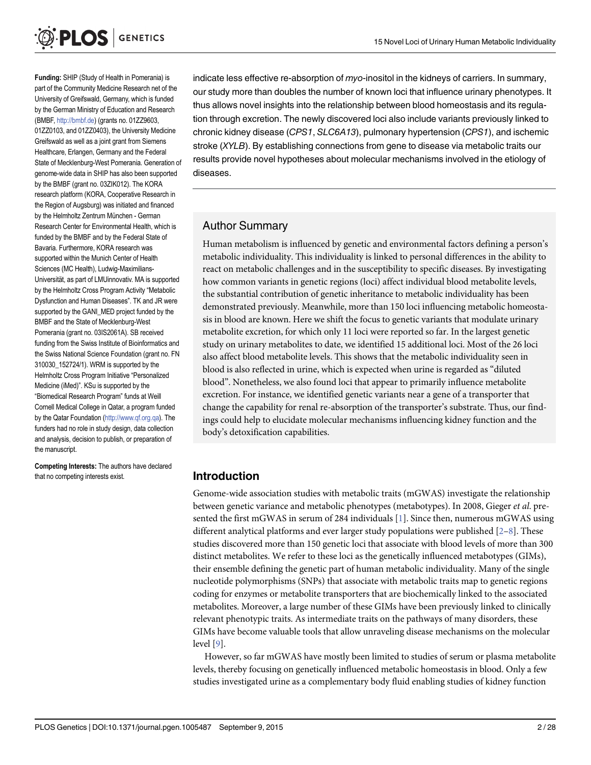<span id="page-1-0"></span>

Funding: SHIP (Study of Health in Pomerania) is part of the Community Medicine Research net of the University of Greifswald, Germany, which is funded by the German Ministry of Education and Research (BMBF, [http://bmbf.de\)](http://bmbf.de) (grants no. 01ZZ9603, 01ZZ0103, and 01ZZ0403), the University Medicine Greifswald as well as a joint grant from Siemens Healthcare, Erlangen, Germany and the Federal State of Mecklenburg-West Pomerania. Generation of genome-wide data in SHIP has also been supported by the BMBF (grant no. 03ZIK012). The KORA research platform (KORA, Cooperative Research in the Region of Augsburg) was initiated and financed by the Helmholtz Zentrum München - German Research Center for Environmental Health, which is funded by the BMBF and by the Federal State of Bavaria. Furthermore, KORA research was supported within the Munich Center of Health Sciences (MC Health), Ludwig-Maximilians-Universität, as part of LMUinnovativ. MA is supported by the Helmholtz Cross Program Activity "Metabolic Dysfunction and Human Diseases". TK and JR were supported by the GANI\_MED project funded by the BMBF and the State of Mecklenburg-West Pomerania (grant no. 03IS2061A). SB received funding from the Swiss Institute of Bioinformatics and the Swiss National Science Foundation (grant no. FN 310030\_152724/1). WRM is supported by the Helmholtz Cross Program Initiative "Personalized Medicine (iMed)". KSu is supported by the "Biomedical Research Program" funds at Weill Cornell Medical College in Qatar, a program funded by the Qatar Foundation ([http://www.qf.org.qa\)](http://www.qf.org.qa). The funders had no role in study design, data collection and analysis, decision to publish, or preparation of the manuscript.

Competing Interests: The authors have declared that no competing interests exist.

indicate less effective re-absorption of myo-inositol in the kidneys of carriers. In summary, our study more than doubles the number of known loci that influence urinary phenotypes. It thus allows novel insights into the relationship between blood homeostasis and its regulation through excretion. The newly discovered loci also include variants previously linked to chronic kidney disease (CPS1, SLC6A13), pulmonary hypertension (CPS1), and ischemic stroke (XYLB). By establishing connections from gene to disease via metabolic traits our results provide novel hypotheses about molecular mechanisms involved in the etiology of diseases.

#### Author Summary

Human metabolism is influenced by genetic and environmental factors defining a person's metabolic individuality. This individuality is linked to personal differences in the ability to react on metabolic challenges and in the susceptibility to specific diseases. By investigating how common variants in genetic regions (loci) affect individual blood metabolite levels, the substantial contribution of genetic inheritance to metabolic individuality has been demonstrated previously. Meanwhile, more than 150 loci influencing metabolic homeostasis in blood are known. Here we shift the focus to genetic variants that modulate urinary metabolite excretion, for which only 11 loci were reported so far. In the largest genetic study on urinary metabolites to date, we identified 15 additional loci. Most of the 26 loci also affect blood metabolite levels. This shows that the metabolic individuality seen in blood is also reflected in urine, which is expected when urine is regarded as "diluted blood". Nonetheless, we also found loci that appear to primarily influence metabolite excretion. For instance, we identified genetic variants near a gene of a transporter that change the capability for renal re-absorption of the transporter's substrate. Thus, our findings could help to elucidate molecular mechanisms influencing kidney function and the body's detoxification capabilities.

#### Introduction

Genome-wide association studies with metabolic traits (mGWAS) investigate the relationship between genetic variance and metabolic phenotypes (metabotypes). In 2008, Gieger et al. presented the first mGWAS in serum of 284 individuals [[1\]](#page-23-0). Since then, numerous mGWAS using different analytical platforms and ever larger study populations were published  $[2-\underline{8}]$  $[2-\underline{8}]$ . These studies discovered more than 150 genetic loci that associate with blood levels of more than 300 distinct metabolites. We refer to these loci as the genetically influenced metabotypes (GIMs), their ensemble defining the genetic part of human metabolic individuality. Many of the single nucleotide polymorphisms (SNPs) that associate with metabolic traits map to genetic regions coding for enzymes or metabolite transporters that are biochemically linked to the associated metabolites. Moreover, a large number of these GIMs have been previously linked to clinically relevant phenotypic traits. As intermediate traits on the pathways of many disorders, these GIMs have become valuable tools that allow unraveling disease mechanisms on the molecular level [[9](#page-23-0)].

However, so far mGWAS have mostly been limited to studies of serum or plasma metabolite levels, thereby focusing on genetically influenced metabolic homeostasis in blood. Only a few studies investigated urine as a complementary body fluid enabling studies of kidney function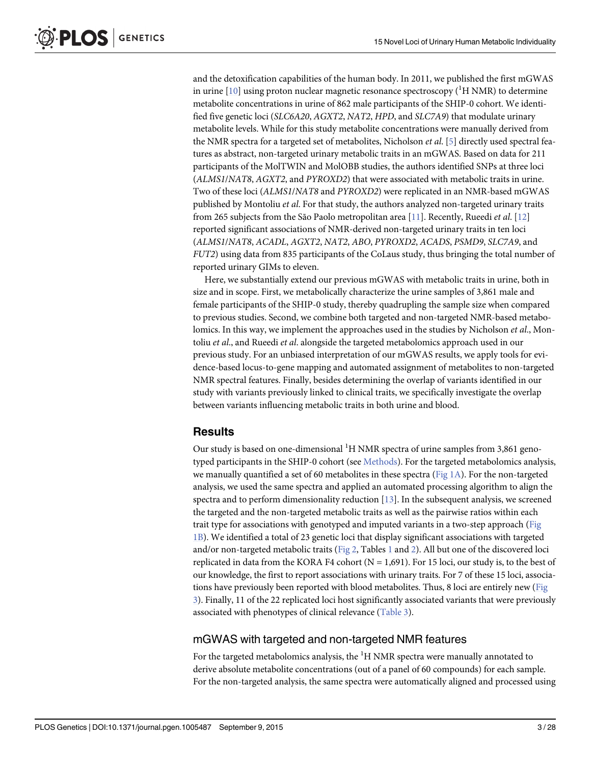<span id="page-2-0"></span>and the detoxification capabilities of the human body. In 2011, we published the first mGWAS in urine [ $10$ ] using proton nuclear magnetic resonance spectroscopy ( $\rm ^1H$  NMR) to determine metabolite concentrations in urine of 862 male participants of the SHIP-0 cohort. We identified five genetic loci (SLC6A20, AGXT2, NAT2, HPD, and SLC7A9) that modulate urinary metabolite levels. While for this study metabolite concentrations were manually derived from the NMR spectra for a targeted set of metabolites, Nicholson *et al.* [\[5\]](#page-23-0) directly used spectral features as abstract, non-targeted urinary metabolic traits in an mGWAS. Based on data for 211 participants of the MolTWIN and MolOBB studies, the authors identified SNPs at three loci (ALMS1/NAT8, AGXT2, and PYROXD2) that were associated with metabolic traits in urine. Two of these loci (ALMS1/NAT8 and PYROXD2) were replicated in an NMR-based mGWAS published by Montoliu et al. For that study, the authors analyzed non-targeted urinary traits from 265 subjects from the São Paolo metropolitan area [\[11\]](#page-23-0). Recently, Rueedi et al. [\[12\]](#page-23-0) reported significant associations of NMR-derived non-targeted urinary traits in ten loci (ALMS1/NAT8, ACADL, AGXT2, NAT2, ABO, PYROXD2, ACADS, PSMD9, SLC7A9, and FUT2) using data from 835 participants of the CoLaus study, thus bringing the total number of reported urinary GIMs to eleven.

Here, we substantially extend our previous mGWAS with metabolic traits in urine, both in size and in scope. First, we metabolically characterize the urine samples of 3,861 male and female participants of the SHIP-0 study, thereby quadrupling the sample size when compared to previous studies. Second, we combine both targeted and non-targeted NMR-based metabolomics. In this way, we implement the approaches used in the studies by Nicholson et al., Montoliu et al., and Rueedi et al. alongside the targeted metabolomics approach used in our previous study. For an unbiased interpretation of our mGWAS results, we apply tools for evidence-based locus-to-gene mapping and automated assignment of metabolites to non-targeted NMR spectral features. Finally, besides determining the overlap of variants identified in our study with variants previously linked to clinical traits, we specifically investigate the overlap between variants influencing metabolic traits in both urine and blood.

#### **Results**

Our study is based on one-dimensional <sup>1</sup>H NMR spectra of urine samples from 3,861 geno-typed participants in the SHIP-0 cohort (see [Methods\)](#page-18-0). For the targeted metabolomics analysis, we manually quantified a set of 60 metabolites in these spectra (Fig  $1A$ ). For the non-targeted analysis, we used the same spectra and applied an automated processing algorithm to align the spectra and to perform dimensionality reduction [\[13](#page-24-0)]. In the subsequent analysis, we screened the targeted and the non-targeted metabolic traits as well as the pairwise ratios within each trait type for associations with genotyped and imputed variants in a two-step approach [\(Fig](#page-3-0) [1B\)](#page-3-0). We identified a total of 23 genetic loci that display significant associations with targeted and/or non-targeted metabolic traits ( $Fig 2$ , Tables  $1$  and  $2$ ). All but one of the discovered loci replicated in data from the KORA F4 cohort ( $N = 1,691$ ). For 15 loci, our study is, to the best of our knowledge, the first to report associations with urinary traits. For 7 of these 15 loci, associations have previously been reported with blood metabolites. Thus, 8 loci are entirely new [\(Fig](#page-7-0) [3\)](#page-7-0). Finally, 11 of the 22 replicated loci host significantly associated variants that were previously associated with phenotypes of clinical relevance ([Table 3](#page-8-0)).

#### mGWAS with targeted and non-targeted NMR features

For the targeted metabolomics analysis, the  $^1\mathrm{H}$  NMR spectra were manually annotated to derive absolute metabolite concentrations (out of a panel of 60 compounds) for each sample. For the non-targeted analysis, the same spectra were automatically aligned and processed using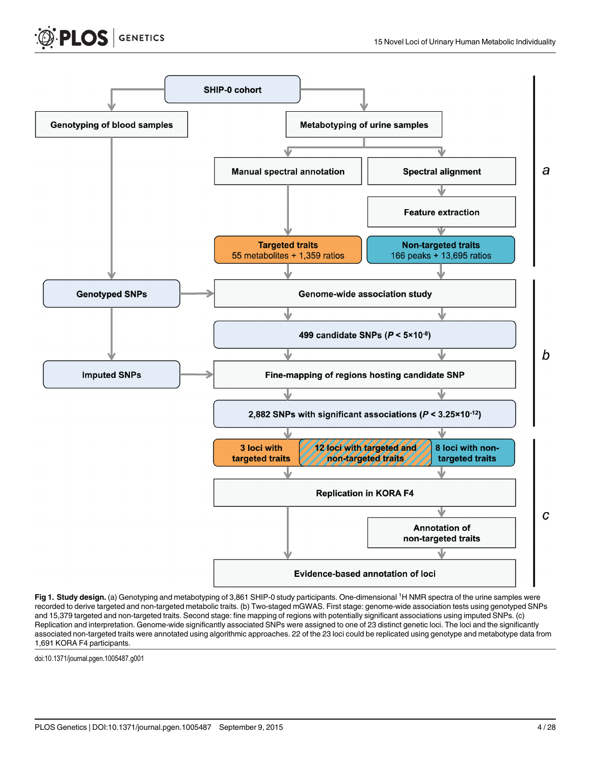<span id="page-3-0"></span>



[Fig 1. S](#page-2-0)tudy design. (a) Genotyping and metabotyping of 3,861 SHIP-0 study participants. One-dimensional <sup>1</sup>H NMR spectra of the urine samples were recorded to derive targeted and non-targeted metabolic traits. (b) Two-staged mGWAS. First stage: genome-wide association tests using genotyped SNPs and 15,379 targeted and non-targeted traits. Second stage: fine mapping of regions with potentially significant associations using imputed SNPs. (c) Replication and interpretation. Genome-wide significantly associated SNPs were assigned to one of 23 distinct genetic loci. The loci and the significantly associated non-targeted traits were annotated using algorithmic approaches. 22 of the 23 loci could be replicated using genotype and metabotype data from 1,691 KORA F4 participants.

doi:10.1371/journal.pgen.1005487.g001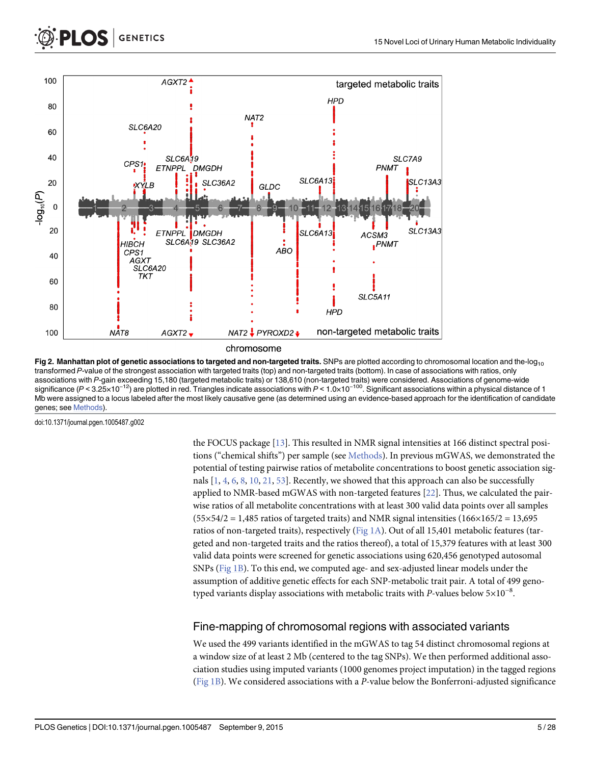<span id="page-4-0"></span>

[Fig 2. M](#page-2-0)anhattan plot of genetic associations to targeted and non-targeted traits. SNPs are plotted according to chromosomal location and the-log<sub>10</sub> transformed P-value of the strongest association with targeted traits (top) and non-targeted traits (bottom). In case of associations with ratios, only associations with P-gain exceeding 15,180 (targeted metabolic traits) or 138,610 (non-targeted traits) were considered. Associations of genome-wide significance (P < 3.25×10<sup>-12</sup>) are plotted in red. Triangles indicate associations with P < 1.0×10<sup>-100</sup>. Significant associations within a physical distance of 1 Mb were assigned to a locus labeled after the most likely causative gene (as determined using an evidence-based approach for the identification of candidate genes; see [Methods](#page-18-0)).

doi:10.1371/journal.pgen.1005487.g002

the FOCUS package [[13](#page-24-0)]. This resulted in NMR signal intensities at 166 distinct spectral positions ("chemical shifts") per sample (see [Methods](#page-18-0)). In previous mGWAS, we demonstrated the potential of testing pairwise ratios of metabolite concentrations to boost genetic association signals  $[1, 4, 6, 8, 10, 21, 53]$  $[1, 4, 6, 8, 10, 21, 53]$  $[1, 4, 6, 8, 10, 21, 53]$  $[1, 4, 6, 8, 10, 21, 53]$  $[1, 4, 6, 8, 10, 21, 53]$  $[1, 4, 6, 8, 10, 21, 53]$  $[1, 4, 6, 8, 10, 21, 53]$  $[1, 4, 6, 8, 10, 21, 53]$  $[1, 4, 6, 8, 10, 21, 53]$  $[1, 4, 6, 8, 10, 21, 53]$  $[1, 4, 6, 8, 10, 21, 53]$  $[1, 4, 6, 8, 10, 21, 53]$  $[1, 4, 6, 8, 10, 21, 53]$  $[1, 4, 6, 8, 10, 21, 53]$ . Recently, we showed that this approach can also be successfully applied to NMR-based mGWAS with non-targeted features [[22](#page-24-0)]. Thus, we calculated the pairwise ratios of all metabolite concentrations with at least 300 valid data points over all samples  $(55\times54/2 = 1,485$  ratios of targeted traits) and NMR signal intensities  $(166\times165/2 = 13,695)$ ratios of non-targeted traits), respectively ( $Fig 1A$ ). Out of all 15,401 metabolic features (targeted and non-targeted traits and the ratios thereof), a total of 15,379 features with at least 300 valid data points were screened for genetic associations using 620,456 genotyped autosomal SNPs [\(Fig 1B](#page-3-0)). To this end, we computed age- and sex-adjusted linear models under the assumption of additive genetic effects for each SNP-metabolic trait pair. A total of 499 genotyped variants display associations with metabolic traits with P-values below 5×10<sup>-8</sup>.

#### Fine-mapping of chromosomal regions with associated variants

We used the 499 variants identified in the mGWAS to tag 54 distinct chromosomal regions at a window size of at least 2 Mb (centered to the tag SNPs). We then performed additional association studies using imputed variants (1000 genomes project imputation) in the tagged regions [\(Fig 1B\)](#page-3-0). We considered associations with a P-value below the Bonferroni-adjusted significance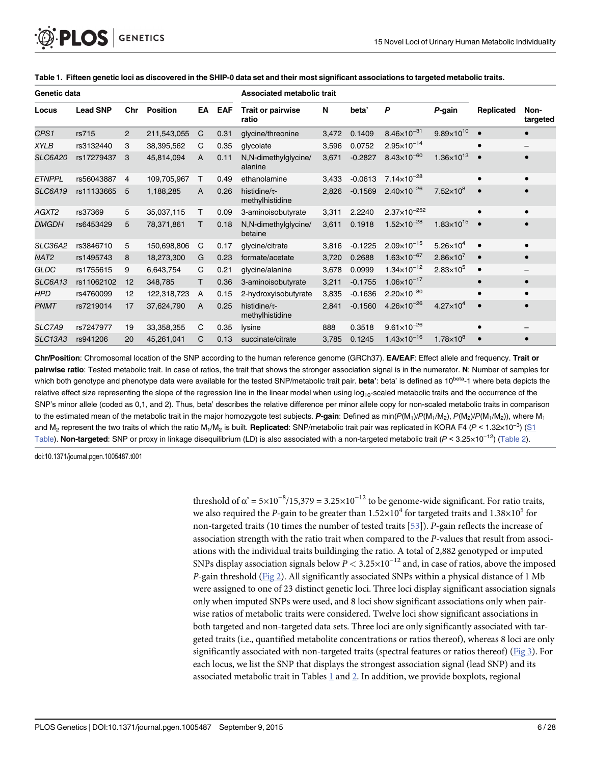| Genetic data     |                 |                |                 |              |            | <b>Associated metabolic trait</b>      |       |           |                        |                       |            |                  |
|------------------|-----------------|----------------|-----------------|--------------|------------|----------------------------------------|-------|-----------|------------------------|-----------------------|------------|------------------|
| Locus            | <b>Lead SNP</b> | Chr            | <b>Position</b> | EA           | <b>EAF</b> | Trait or pairwise<br>ratio             | N     | beta'     | P                      | P-gain                | Replicated | Non-<br>targeted |
| CPS1             | rs715           | $\overline{2}$ | 211,543,055     | C            | 0.31       | glycine/threonine                      | 3,472 | 0.1409    | $8.46\times10^{-31}$   | $9.89\times10^{10}$   | $\bullet$  | $\bullet$        |
| <b>XYLB</b>      | rs3132440       | 3              | 38,395,562      | C            | 0.35       | glycolate                              | 3,596 | 0.0752    | $2.95 \times 10^{-14}$ |                       |            |                  |
| <b>SLC6A20</b>   | rs17279437      | 3              | 45,814,094      | A            | 0.11       | N,N-dimethylglycine/<br>alanine        | 3,671 | $-0.2827$ | $8.43\times10^{-60}$   | $1.36\times10^{13}$   |            | $\bullet$        |
| <b>ETNPPL</b>    | rs56043887      | 4              | 109,705,967     | Τ            | 0.49       | ethanolamine                           | 3,433 | $-0.0613$ | $7.14 \times 10^{-28}$ |                       |            | $\bullet$        |
| <b>SLC6A19</b>   | rs11133665      | 5              | 1,188,285       | A            | 0.26       | histidine/ $\tau$ -<br>methylhistidine | 2,826 | $-0.1569$ | $2.40\times10^{-26}$   | $7.52\times10^{8}$    |            |                  |
| AGXT2            | rs37369         | 5              | 35,037,115      | т            | 0.09       | 3-aminoisobutyrate                     | 3,311 | 2.2240    | $2.37\times10^{-252}$  |                       |            | $\bullet$        |
| <b>DMGDH</b>     | rs6453429       | 5              | 78,371,861      | т            | 0.18       | N,N-dimethylglycine/<br>betaine        | 3,611 | 0.1918    | $1.52\times10^{-28}$   | $1.83 \times 10^{15}$ |            |                  |
| SLC36A2          | rs3846710       | 5              | 150,698,806     | C            | 0.17       | glycine/citrate                        | 3,816 | $-0.1225$ | $2.09 \times 10^{-15}$ | $5.26 \times 10^{4}$  |            | $\bullet$        |
| NAT <sub>2</sub> | rs1495743       | 8              | 18,273,300      | G            | 0.23       | formate/acetate                        | 3,720 | 0.2688    | $1.63\times10^{-67}$   | $2.86 \times 10^{7}$  |            | $\bullet$        |
| <b>GLDC</b>      | rs1755615       | 9              | 6,643,754       | C            | 0.21       | glycine/alanine                        | 3,678 | 0.0999    | $1.34 \times 10^{-12}$ | $2.83\times10^{5}$    | $\bullet$  |                  |
| <b>SLC6A13</b>   | rs11062102      | 12             | 348,785         | т            | 0.36       | 3-aminoisobutyrate                     | 3,211 | $-0.1755$ | $1.06 \times 10^{-17}$ |                       | $\bullet$  | $\bullet$        |
| <b>HPD</b>       | rs4760099       | 12             | 122,318,723     | Α            | 0.15       | 2-hydroxyisobutyrate                   | 3,835 | $-0.1636$ | $2.20\times10^{-80}$   |                       |            | $\bullet$        |
| PNMT             | rs7219014       | 17             | 37,624,790      | $\mathsf{A}$ | 0.25       | histidine/ $\tau$ -<br>methylhistidine | 2,841 | $-0.1560$ | $4.26 \times 10^{-26}$ | $4.27 \times 10^{4}$  |            |                  |
| SLC7A9           | rs7247977       | 19             | 33,358,355      | C            | 0.35       | lysine                                 | 888   | 0.3518    | $9.61 \times 10^{-26}$ |                       |            |                  |
| SLC13A3          | rs941206        | 20             | 45,261,041      | C            | 0.13       | succinate/citrate                      | 3,785 | 0.1245    | $1.43 \times 10^{-16}$ | $1.78 \times 10^{8}$  |            | $\bullet$        |

#### <span id="page-5-0"></span>[Table 1.](#page-2-0) Fifteen genetic loci as discovered in the SHIP-0 data set and their most significant associations to targeted metabolic traits.

Chr/Position: Chromosomal location of the SNP according to the human reference genome (GRCh37). EA/EAF: Effect allele and frequency. Trait or pairwise ratio: Tested metabolic trait. In case of ratios, the trait that shows the stronger association signal is in the numerator. N: Number of samples for which both genotype and phenotype data were available for the tested SNP/metabolic trait pair. beta': beta' is defined as 10<sup>beta</sup>-1 where beta depicts the relative effect size representing the slope of the regression line in the linear model when using log<sub>10</sub>-scaled metabolic traits and the occurrence of the SNP's minor allele (coded as 0,1, and 2). Thus, beta' describes the relative difference per minor allele copy for non-scaled metabolic traits in comparison to the estimated mean of the metabolic trait in the major homozygote test subjects. **P-gain**: Defined as min( $P(M_1)/P(M_1/M_2)$ ,  $P(M_2)/P(M_1/M_2)$ ), where  $M_1$  and  $M_2$  represent the two traits of which the ratio  $M_1/M_2$  is and M<sub>2</sub> represent the two traits of which the ratio M<sub>1</sub>/M<sub>2</sub> is built. **Replicated**: SNP/metabolic trait pair was replicated in KORA F4 (P < 1.32×10<sup>-3</sup>) ([S1](#page-22-0) [Table\)](#page-22-0). Non-targeted: SNP or proxy in linkage disequilibrium (LD) is also associated with a non-targeted metabolic trait  $(P < 3.25 \times 10^{-12})$  ([Table 2\)](#page-6-0).

doi:10.1371/journal.pgen.1005487.t001

threshold of  $\alpha' = 5 \times 10^{-8} / 15,379 = 3.25 \times 10^{-12}$  to be genome-wide significant. For ratio traits, we also required the P-gain to be greater than  $1.52\times10^4$  for targeted traits and  $1.38\times10^5$  for non-targeted traits (10 times the number of tested traits [\[53](#page-26-0)]). P-gain reflects the increase of association strength with the ratio trait when compared to the P-values that result from associations with the individual traits buildinging the ratio. A total of 2,882 genotyped or imputed SNPs display association signals below  $P < 3.25 \times 10^{-12}$  and, in case of ratios, above the imposed P-gain threshold ([Fig 2](#page-4-0)). All significantly associated SNPs within a physical distance of 1 Mb were assigned to one of 23 distinct genetic loci. Three loci display significant association signals only when imputed SNPs were used, and 8 loci show significant associations only when pairwise ratios of metabolic traits were considered. Twelve loci show significant associations in both targeted and non-targeted data sets. Three loci are only significantly associated with targeted traits (i.e., quantified metabolite concentrations or ratios thereof), whereas 8 loci are only significantly associated with non-targeted traits (spectral features or ratios thereof) ([Fig 3](#page-7-0)). For each locus, we list the SNP that displays the strongest association signal (lead SNP) and its associated metabolic trait in Tables 1 and [2.](#page-6-0) In addition, we provide boxplots, regional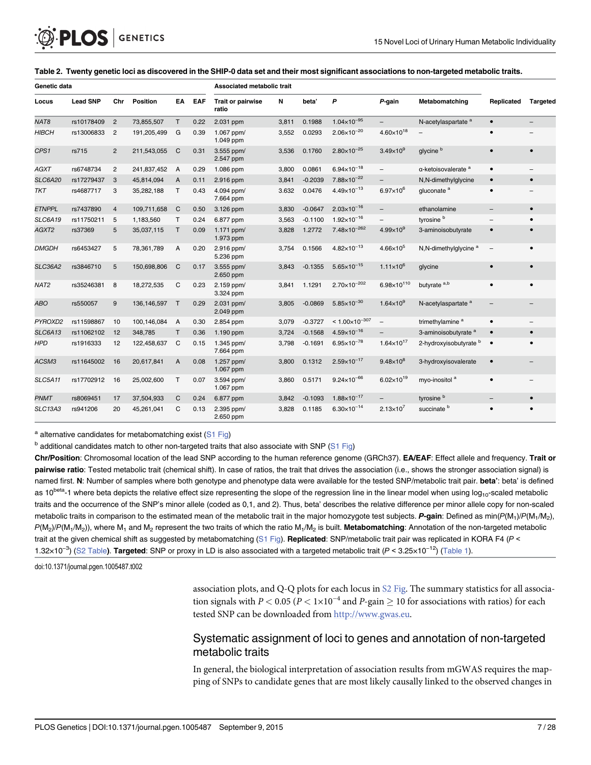<span id="page-6-0"></span>

| Genetic data     |                 |                |               |                |      | Associated metabolic trait        |       |           |                           |                          |                                    |                          |                 |
|------------------|-----------------|----------------|---------------|----------------|------|-----------------------------------|-------|-----------|---------------------------|--------------------------|------------------------------------|--------------------------|-----------------|
| Locus            | <b>Lead SNP</b> | Chr            | Position      | EA             | EAF  | <b>Trait or pairwise</b><br>ratio | N     | beta'     | P                         | P-gain                   | Metabomatching                     | Replicated               | <b>Targeted</b> |
| NAT <sub>8</sub> | rs10178409      | $\overline{2}$ | 73,855,507    | T.             | 0.22 | 2.031 ppm                         | 3,811 | 0.1988    | $1.04\times10^{-95}$      |                          | N-acetylaspartate <sup>a</sup>     | $\bullet$                |                 |
| <b>HIBCH</b>     | rs13006833      | $\overline{2}$ | 191,205,499   | G              | 0.39 | 1.067 ppm/<br>1.049 ppm           | 3,552 | 0.0293    | $2.06\times10^{-20}$      | $4.60\times10^{18}$      |                                    | $\bullet$                |                 |
| CPS1             | rs715           | $\overline{2}$ | 211,543,055   | $\mathsf{C}$   | 0.31 | 3.555 ppm/<br>2.547 ppm           | 3,536 | 0.1760    | $2.80\times10^{-25}$      | $3.49\times10^9$         | glycine <sup>b</sup>               | $\bullet$                | $\bullet$       |
| <b>AGXT</b>      | rs6748734       | $\overline{2}$ | 241,837,452   | $\overline{A}$ | 0.29 | 1.086 ppm                         | 3,800 | 0.0861    | $6.94 \times 10^{-18}$    | $\qquad \qquad -$        | $\alpha$ -ketoisovalerate $\alpha$ | $\bullet$                |                 |
| <b>SLC6A20</b>   | rs17279437      | 3              | 45,814,094    | A              | 0.11 | 2.916 ppm                         | 3,841 | $-0.2039$ | $7.88\times10^{-22}$      | $\qquad \qquad -$        | N,N-dimethylglycine                | $\bullet$                | $\bullet$       |
| <b>TKT</b>       | rs4687717       | 3              | 35,282,188    | T.             | 0.43 | 4.094 ppm/<br>7.664 ppm           | 3.632 | 0.0476    | $4.49\times10^{-13}$      | $6.97\times10^{6}$       | gluconate <sup>a</sup>             | $\bullet$                |                 |
| <b>ETNPPL</b>    | rs7437890       | $\overline{4}$ | 109,711,658   | C              | 0.50 | 3.126 ppm                         | 3,830 | $-0.0647$ | $2.03 \times 10^{-16}$    |                          | ethanolamine                       |                          | $\bullet$       |
| <b>SLC6A19</b>   | rs11750211      | 5              | 1,183,560     | $\mathsf{T}$   | 0.24 | 6.877 ppm                         | 3,563 | $-0.1100$ | $1.92\times10^{-16}$      | $\qquad \qquad -$        | tyrosine <sup>b</sup>              | $\overline{\phantom{0}}$ | $\bullet$       |
| AGXT2            | rs37369         | 5              | 35,037,115    | T.             | 0.09 | 1.171 ppm/<br>1.973 ppm           | 3,828 | 1.2772    | $7.48\times10^{-262}$     | $4.99\times10^{9}$       | 3-aminoisobutyrate                 | $\bullet$                |                 |
| <b>DMGDH</b>     | rs6453427       | 5              | 78,361,789    | A              | 0.20 | 2.916 ppm/<br>5.236 ppm           | 3,754 | 0.1566    | $4.82 \times 10^{-13}$    | $4.66 \times 10^{5}$     | N,N-dimethylglycine <sup>a</sup>   | $\overline{\phantom{a}}$ | $\bullet$       |
| <b>SLC36A2</b>   | rs3846710       | 5              | 150,698,806   | $\mathsf{C}$   | 0.17 | 3.555 ppm/<br>2.650 ppm           | 3,843 | $-0.1355$ | $5.65 \times 10^{-15}$    | $1.11 \times 10^{6}$     | glycine                            | $\bullet$                | $\bullet$       |
| NAT <sub>2</sub> | rs35246381      | 8              | 18,272,535    | $\mathsf{C}$   | 0.23 | 2.159 ppm/<br>3.324 ppm           | 3,841 | 1.1291    | $2.70\times10^{-202}$     | $6.98 \times 10^{110}$   | butyrate <sup>a,b</sup>            | $\bullet$                | $\bullet$       |
| ABO              | rs550057        | 9              | 136, 146, 597 | $\mathsf{T}$   | 0.29 | 2.031 ppm/<br>2.049 ppm           | 3,805 | $-0.0869$ | $5.85\times10^{-30}$      | $1.64\times10^{9}$       | N-acetylaspartate <sup>a</sup>     |                          |                 |
| PYROXD2          | rs11598867      | 10             | 100,146,084   | $\overline{A}$ | 0.30 | 2.854 ppm                         | 3,079 | $-0.3727$ | $< 1.00 \times 10^{-307}$ | $\overline{\phantom{0}}$ | trimethylamine <sup>a</sup>        | $\bullet$                |                 |
| SLC6A13          | rs11062102      | 12             | 348,785       | T              | 0.36 | 1.190 ppm                         | 3,724 | $-0.1568$ | $4.59\times10^{-16}$      |                          | 3-aminoisobutyrate <sup>a</sup>    | $\bullet$                |                 |
| <b>HPD</b>       | rs1916333       | 12             | 122,458,637   | C              | 0.15 | 1.345 ppm/<br>7.664 ppm           | 3,798 | $-0.1691$ | $6.95 \times 10^{-78}$    | $1.64 \times 10^{17}$    | 2-hydroxyisobutyrate b             | $\bullet$                | $\bullet$       |
| ACSM3            | rs11645002      | 16             | 20,617,841    | $\overline{A}$ | 0.08 | 1.257 ppm/<br>1.067 ppm           | 3,800 | 0.1312    | $2.59 \times 10^{-17}$    | $9.48\times10^{8}$       | 3-hydroxyisovalerate               | $\bullet$                |                 |
| <b>SLC5A11</b>   | rs17702912      | 16             | 25,002,600    | $\mathsf{T}$   | 0.07 | 3.594 ppm/<br>1.067 ppm           | 3,860 | 0.5171    | $9.24 \times 10^{-66}$    | $6.02\times10^{19}$      | myo-inositol <sup>a</sup>          | $\bullet$                |                 |
| PNMT             | rs8069451       | 17             | 37,504,933    | C              | 0.24 | 6.877 ppm                         | 3,842 | $-0.1093$ | $1.88 \times 10^{-17}$    |                          | tyrosine <sup>b</sup>              | $\overline{\phantom{0}}$ | $\bullet$       |
| <b>SLC13A3</b>   | rs941206        | 20             | 45,261,041    | C              | 0.13 | 2.395 ppm/<br>2.650 ppm           | 3,828 | 0.1185    | $6.30\times10^{-14}$      | $2.13 \times 10^{7}$     | succinate b                        |                          |                 |

#### [Table 2.](#page-2-0) Twenty genetic loci as discovered in the SHIP-0 data set and their most significant associations to non-targeted metabolic traits.

 $a$  alternative candidates for metabomatching exist ([S1 Fig\)](#page-21-0)

 $<sup>b</sup>$  additional candidates match to other non-targeted traits that also associate with SNP ( $S1$  Fig)</sup>

Chr/Position: Chromosomal location of the lead SNP according to the human reference genome (GRCh37). EA/EAF: Effect allele and frequency. Trait or **pairwise ratio**: Tested metabolic trait (chemical shift). In case of ratios, the trait that drives the association (i.e., shows the stronger association signal) is named first. N: Number of samples where both genotype and phenotype data were available for the tested SNP/metabolic trait pair. beta': beta' is defined as 10<sup>beta</sup>-1 where beta depicts the relative effect size representing the slope of the regression line in the linear model when using  $log_{10}$ -scaled metabolic traits and the occurrence of the SNP's minor allele (coded as 0,1, and 2). Thus, beta' describes the relative difference per minor allele copy for non-scaled metabolic traits in comparison to the estimated mean of the metabolic trait in the major homozygote test subjects. P-gain: Defined as min( $P(M_1)/P(M_1/M_2)$ ,  $P(M_2)/P(M_1/M_2)$ , where M<sub>1</sub> and M<sub>2</sub> represent the two traits of which the ratio M<sub>1</sub>/M<sub>2</sub> is built. **Metabomatching:** Annotation of the non-targeted metabolic trait at the given chemical shift as suggested by metabomatching ([S1 Fig\)](#page-21-0). **Replicated**: SNP/metabolic trait pair was replicated in KORA F4 (P <<br>trait at the given chemical shift as suggested by metabomatching (S1 Fig).

doi:10.1371/journal.pgen.1005487.t002

association plots, and Q-Q plots for each locus in [S2 Fig](#page-21-0). The summary statistics for all association signals with  $P < 0.05$  ( $P < 1 \times 10^{-4}$  and  $P$ -gain  $\geq 10$  for associations with ratios) for each tested SNP can be downloaded from [http://www.gwas.eu.](http://www.gwas.eu/)

#### Systematic assignment of loci to genes and annotation of non-targeted metabolic traits

In general, the biological interpretation of association results from mGWAS requires the mapping of SNPs to candidate genes that are most likely causally linked to the observed changes in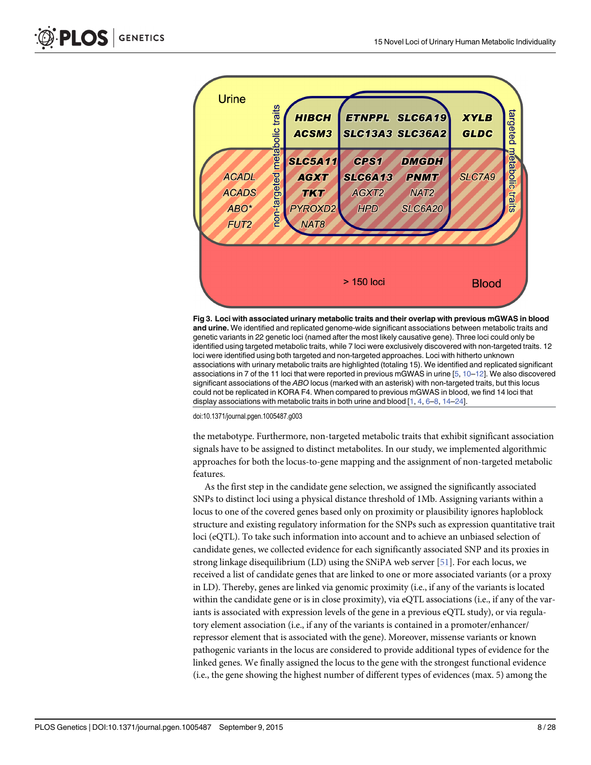<span id="page-7-0"></span>

[Fig 3. L](#page-2-0)oci with associated urinary metabolic traits and their overlap with previous mGWAS in blood and urine. We identified and replicated genome-wide significant associations between metabolic traits and genetic variants in 22 genetic loci (named after the most likely causative gene). Three loci could only be identified using targeted metabolic traits, while 7 loci were exclusively discovered with non-targeted traits. 12 loci were identified using both targeted and non-targeted approaches. Loci with hitherto unknown associations with urinary metabolic traits are highlighted (totaling 15). We identified and replicated significant associations in 7 of the 11 loci that were reported in previous mGWAS in urine [\[5](#page-23-0), [10](#page-23-0)–[12](#page-23-0)]. We also discovered significant associations of the ABO locus (marked with an asterisk) with non-targeted traits, but this locus could not be replicated in KORA F4. When compared to previous mGWAS in blood, we find 14 loci that display associations with metabolic traits in both urine and blood  $[1, 4, 6-8, 14-24]$  $[1, 4, 6-8, 14-24]$  $[1, 4, 6-8, 14-24]$  $[1, 4, 6-8, 14-24]$  $[1, 4, 6-8, 14-24]$  $[1, 4, 6-8, 14-24]$  $[1, 4, 6-8, 14-24]$  $[1, 4, 6-8, 14-24]$  $[1, 4, 6-8, 14-24]$  $[1, 4, 6-8, 14-24]$  $[1, 4, 6-8, 14-24]$  $[1, 4, 6-8, 14-24]$  $[1, 4, 6-8, 14-24]$ .

doi:10.1371/journal.pgen.1005487.g003

the metabotype. Furthermore, non-targeted metabolic traits that exhibit significant association signals have to be assigned to distinct metabolites. In our study, we implemented algorithmic approaches for both the locus-to-gene mapping and the assignment of non-targeted metabolic features.

As the first step in the candidate gene selection, we assigned the significantly associated SNPs to distinct loci using a physical distance threshold of 1Mb. Assigning variants within a locus to one of the covered genes based only on proximity or plausibility ignores haploblock structure and existing regulatory information for the SNPs such as expression quantitative trait loci (eQTL). To take such information into account and to achieve an unbiased selection of candidate genes, we collected evidence for each significantly associated SNP and its proxies in strong linkage disequilibrium (LD) using the SNiPA web server [[51\]](#page-26-0). For each locus, we received a list of candidate genes that are linked to one or more associated variants (or a proxy in LD). Thereby, genes are linked via genomic proximity (i.e., if any of the variants is located within the candidate gene or is in close proximity), via eQTL associations (i.e., if any of the variants is associated with expression levels of the gene in a previous eQTL study), or via regulatory element association (i.e., if any of the variants is contained in a promoter/enhancer/ repressor element that is associated with the gene). Moreover, missense variants or known pathogenic variants in the locus are considered to provide additional types of evidence for the linked genes. We finally assigned the locus to the gene with the strongest functional evidence (i.e., the gene showing the highest number of different types of evidences (max. 5) among the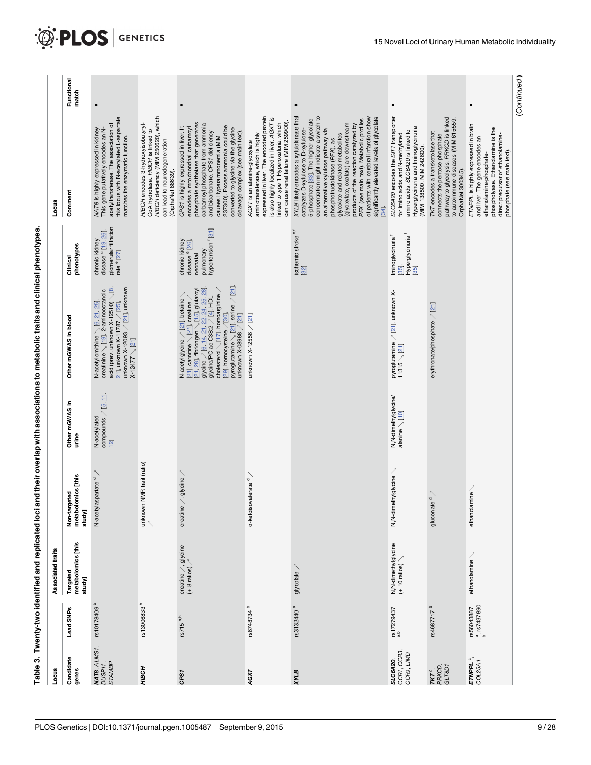| j      |
|--------|
|        |
|        |
|        |
|        |
|        |
|        |
|        |
|        |
|        |
|        |
|        |
|        |
|        |
|        |
|        |
|        |
|        |
|        |
|        |
|        |
|        |
|        |
|        |
| ı      |
|        |
|        |
| Ì<br>l |

<span id="page-8-0"></span>

|                                               |                                        | Table 3. Twenty-two identified and replicated loci an          |                                              |                                             | id their overlap with associations to metabolic traits and clinical phenotypes                                                                                                                                                                                                                                                                                                               |                                                                                                                  |                                                                                                                                                                                                                                                                                                                                                                                                                                                                                                                            |                     |
|-----------------------------------------------|----------------------------------------|----------------------------------------------------------------|----------------------------------------------|---------------------------------------------|----------------------------------------------------------------------------------------------------------------------------------------------------------------------------------------------------------------------------------------------------------------------------------------------------------------------------------------------------------------------------------------------|------------------------------------------------------------------------------------------------------------------|----------------------------------------------------------------------------------------------------------------------------------------------------------------------------------------------------------------------------------------------------------------------------------------------------------------------------------------------------------------------------------------------------------------------------------------------------------------------------------------------------------------------------|---------------------|
| Locus                                         |                                        | Associated traits                                              |                                              |                                             |                                                                                                                                                                                                                                                                                                                                                                                              |                                                                                                                  | Locus                                                                                                                                                                                                                                                                                                                                                                                                                                                                                                                      |                     |
| Candidate<br>genes                            | Lead SNPs                              | Targeted<br>metabolomics [this<br>study]                       | Non-targeted<br>metabolomics [this<br>study] | Other mGWAS in<br>urine                     | Other mGWAS in blood                                                                                                                                                                                                                                                                                                                                                                         | phenotypes<br>Clinical                                                                                           | Comment                                                                                                                                                                                                                                                                                                                                                                                                                                                                                                                    | Functional<br>match |
| MAT8, ALMS1,<br>DUSP11,<br>STAMBP             | rs10178409 <sup>b</sup>                |                                                                | $\diagup$<br>N-acetylaspartate <sup>d</sup>  | N-acetylated<br>compounds $\frac{15}{12}$ . | N-acetylomithine $\setminus$ [6, 21, 25],<br>creatinine $\setminus$ [19], 2-aminoodanoic<br>acid (prev. unknown X-12510) $\setminus$ [8,<br>unknown X-12093 -∕' [ <u>2´1],</u> unknown<br>X-13477 $\searrow$ [2 <u>`1]</u><br>21]. unknown X-11787 / 25].                                                                                                                                    | disease <sup>e</sup> [19, 26],<br>glomerular filtration<br>chronic kidney<br>rate <sup>e</sup> [27]              | $\bullet$<br>this locus with N-acetylated L-aspartate<br>acetyltransferase. The association of<br>This gene putatively encodes an N-<br>NAT8 is highly expressed in kidney<br>matches the enzymatic function.                                                                                                                                                                                                                                                                                                              |                     |
| HJBCH                                         | rs13006833 $b$                         |                                                                | unknown NMR trait (ratio)                    |                                             |                                                                                                                                                                                                                                                                                                                                                                                              |                                                                                                                  | HIBCH deficiency (MIM 250620), which<br>HIBCH encodes 3-hydroxyisobutyryl-<br>CoA hydrolase. HIBCH is linked to<br>can lead to neurodegeneration<br>(OrphaNet 88639).                                                                                                                                                                                                                                                                                                                                                      |                     |
| CPS1                                          | rs715 <sup>a,b</sup>                   | creatine $\frac{1}{2}$ , glycine<br>(+ 8 ratios) $\frac{1}{2}$ | creatine $\nearrow$ , glycine $\nearrow$     |                                             | pyroglutamine $\setminus$ [21], serine / [21],<br>cholesterol $\setminus$ [17], homoarginine $\nearrow$<br>[21, 28], fibriongen \ [15], glutaroyl<br>glycine / [6, <u>14, 21, 22, 24, 25, 28]</u><br>glycine/PC ae C38:2 / <u>[4],</u> HDL<br>N-acetylglycine / [21], betaine<br>[21], camitine $\searrow$ [21], creatine $\nearrow$<br>[29], homocysteine / [30],<br>unknown X-08988 / [21] | pulmonary<br>hypertension <sup>f</sup> [ <u>31</u> ]<br>chronic kidney<br>disease <sup>e</sup> [26],<br>neonatal | phosphate synthetase that generates<br>carbamoyl phosphate from ammonia<br>237300). Excess ammonia could be<br>CPS1 is highly expressed in liver. It<br>converted to glycine via the glycine<br>encodes a mitochondrial carbamoy<br>cleavage complex (see main text).<br>and bicarbonate. CPS1 deficiency<br>causes Hyperammonemia (MIM                                                                                                                                                                                    |                     |
| AGXT                                          | rs6748734 <sup>b</sup>                 |                                                                | a-ketoisovalerate <sup>d</sup>               |                                             | unknown X-12556 / [21]                                                                                                                                                                                                                                                                                                                                                                       |                                                                                                                  | expressed in liver. The encoded protein<br>is also highly localized in liver. AGXT is<br>can cause renal failure (MIM 259900).<br>linked to type 1 Hyperoxaluria, which<br>aminotransferase, which is highly<br>AGXT is an alanine-glyoxylate                                                                                                                                                                                                                                                                              |                     |
| <b>AVX</b>                                    | rs3132440 <sup>a</sup>                 | glycolate /                                                    |                                              |                                             |                                                                                                                                                                                                                                                                                                                                                                                              | ischemic stroke <sup>e,f</sup><br>$\overline{32}$                                                                | XYLB likely encodes a xylulokinase that<br>concentration might indicate a switch to<br>of patients with cerebral infarction show<br>significantly elevated levels of glycolate<br>PFK (see main text). Metabolic profiles<br>5-phosphate [33]. The higher glycolate<br>(glyoxylate, oxalate) are downstream<br>products of the reaction catalyzed by<br>an alternative xylulose pathway via<br>catalyzes D-xylulose to D-xylulose-<br>glycolate and related metabolites<br>phosphofructokinase (PFK), as<br>$\frac{34}{3}$ |                     |
| <b>SL C6A20,</b><br>CCR1, CCR3,<br>CCR9, LIMD | $^{17279437}_{\rm a,b}$                |                                                                | N,N-dimethylglycine                          |                                             | pyroglutamine <sub>∕</sub> " [ <u>21],</u> unknown X-<br>11315 $\setminus$ [2 <u>1</u> ]                                                                                                                                                                                                                                                                                                     | Hyperglycinuria <sup>1</sup><br>[35]<br>Iminoglycinuria <sup>f</sup><br>[35]                                     | SLC6A20 encodes the SIT1 transporter<br>Hyperglycinuria and Iminoglycinuria<br>(MIM 138500, MIM 242600).<br>amino acids. SLC6A20 is linked to<br>for imino acids and N-methylated                                                                                                                                                                                                                                                                                                                                          |                     |
| TKT °,<br>PRKCD,<br>GLT8D1                    | rs4687717 <sup>b</sup>                 |                                                                | gluconate <sup>'</sup>                       |                                             | erythronate/phosphate / [21]                                                                                                                                                                                                                                                                                                                                                                 |                                                                                                                  | pathway to glycolysis. PRKCD is linked<br>to autoimmune diseases (MIM 615559,<br>TKT encodes a transketolase that<br>connects the pentose phosphate<br>OrphaNet 300345).                                                                                                                                                                                                                                                                                                                                                   |                     |
| $ETWPL^{\circ}$ ,<br>COL25A1                  | rs56043887<br><sup>a</sup> , rs7437890 | $ethanolamine \setminus$                                       | ethanolamine                                 |                                             |                                                                                                                                                                                                                                                                                                                                                                                              |                                                                                                                  | ETNPPL is highly expressed in brain<br>phospholyase. Ethanolamine is the<br>direct precursor of ethanolamine-<br>phosphate (see main text).<br>and liver. The gene encodes an<br>ethanolamine-phosphate-                                                                                                                                                                                                                                                                                                                   |                     |
|                                               |                                        |                                                                |                                              |                                             |                                                                                                                                                                                                                                                                                                                                                                                              |                                                                                                                  |                                                                                                                                                                                                                                                                                                                                                                                                                                                                                                                            | (Continued)         |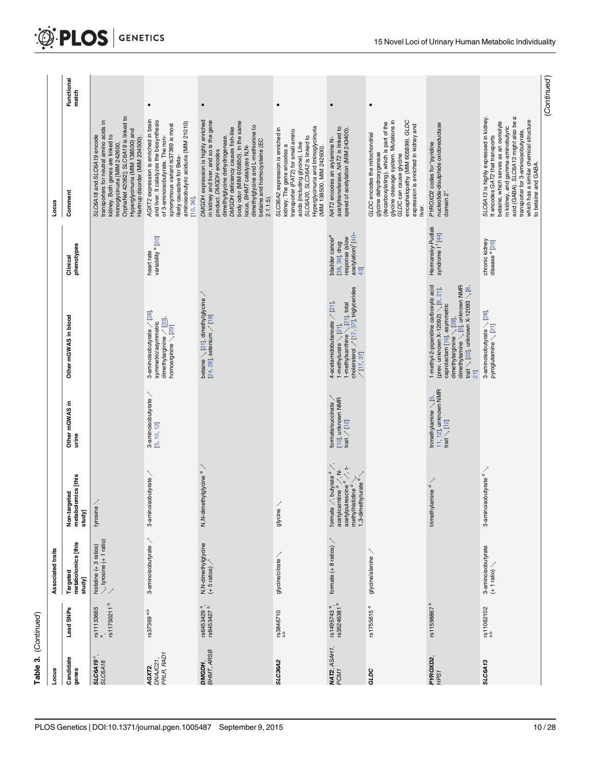<span id="page-9-0"></span>

| Locus                                |                                                     | Associated traits                                            |                                                                                                                                                                                                                                         |                                                                                |                                                                                                                                                                                                    |                                                                                                          | Locus                                                                                                                                                                                                                                                                                                                                   |                     |
|--------------------------------------|-----------------------------------------------------|--------------------------------------------------------------|-----------------------------------------------------------------------------------------------------------------------------------------------------------------------------------------------------------------------------------------|--------------------------------------------------------------------------------|----------------------------------------------------------------------------------------------------------------------------------------------------------------------------------------------------|----------------------------------------------------------------------------------------------------------|-----------------------------------------------------------------------------------------------------------------------------------------------------------------------------------------------------------------------------------------------------------------------------------------------------------------------------------------|---------------------|
| Candidate<br>genes                   | Lead SNPs                                           | metabolomics [this<br>Targeted<br>study]                     | metabolomics [this<br>geted<br>Non-tar<br>study]                                                                                                                                                                                        | Other mGWAS in<br>urine                                                        | Other mGWAS in blood                                                                                                                                                                               | phenotypes<br>Clinical                                                                                   | Comment                                                                                                                                                                                                                                                                                                                                 | Functional<br>match |
| $\circ$<br><b>SLC6A19</b><br>SLC6A18 | rs11750211 <sup>b</sup><br>rs11133665               | $\searrow$ , tyrosine (+ 1 ratio)<br>histidine $(+3$ ratios) | tyrosine                                                                                                                                                                                                                                |                                                                                |                                                                                                                                                                                                    |                                                                                                          | OrphaNet 42062]; SLC6A19 is linked to<br>transporters for neutral amino acids in<br>Hyperglycinuria (MIM 138500) and<br>kidney. Both genes are linked to<br>SLC6A18 and SLC6A19 encode<br>Hartnup disorder (MIM 234500).<br>Iminoglycinuria [MIM 242600,                                                                                |                     |
| PRLR, RAD1<br>DNAJC21,<br>AGXT2      | rs37369 <sup>a,b</sup>                              | 3-aminoisobutyrate                                           | 3-aminoisobutyrate                                                                                                                                                                                                                      | 3-aminoisobutyrate<br>5, 10, 12                                                | 3-aminoisobutyrate / [28],<br>dimethylarginine / [20],<br>symmetric/asymmetric<br>homoarginine \ [29]                                                                                              | variability <sup>e</sup> [20]<br>heart rate                                                              | AGXT2 expression is enriched in brain<br>and liver. It catalyzes the biosynthesis<br>aminoisobutyric aciduria (MIM 21010)<br>synonymous variant rs37369 is most<br>of 3-aminoisobutyrate. The non-<br>likely causative for Beta-<br>10, 36                                                                                              | $\bullet$           |
| BHMT, ARSB<br>DMGDH,                 | rs6453429 <sup>a</sup> ,<br>rs6453427 <sup>b</sup>  | N,N-dimethylglycine<br>(+ 5 ratios) /                        | N,N-dimethylglycine <sup>d</sup>                                                                                                                                                                                                        |                                                                                | betaine $\searrow$ [21], dimethylglycine $\nearrow$<br>[24, 28], selenium $\nearrow$ [18]                                                                                                          |                                                                                                          | DMGDH expression is highly enriched<br>body odor (MIM 605850). In the same<br>in kidney and liver, and so is the gene<br>dimethylglycine and L-methionine to<br>DMGDH deficiency causes fish-like<br>dimethylglycine dehydrogenase.<br>betaine and homocysteine (EC<br>locus, BHMT catalyzes N, N-<br>product. DMGDH encodes<br>2.1.1.5 | $\bullet$           |
| SLC36A2                              | rs3846710                                           | glycine/citrate                                              | glycine                                                                                                                                                                                                                                 |                                                                                |                                                                                                                                                                                                    |                                                                                                          | Hyperglycinuria and Iminoglycinuria<br>SLC36A2 expression is enriched in<br>transporter (PAT2) for small amino<br>SLC6A20, SLC36A2 is linked to<br>acids (including glycine). Like<br>kidney. The gene encodes a<br>(MIM 138500, MIM 242600).                                                                                           | $\bullet$           |
| <b>NAT2</b> , ASAH1,<br>PCM1         | rs1495743 <sup>a</sup> ,<br>rs35246381 <sup>b</sup> | formate $(+ 8$ ratios) $\nearrow$                            | $\tilde{\mathcal{L}}$<br>formate $\nearrow$ butyrate $^d$ $\nearrow$<br>acetylcarnitine $^d$ $\nearrow$ , N-<br>acetylputrescine $^d$ $\nearrow$ , τ-<br>methylhistidine $\sigma$ $\searrow$ ,<br>1,3-dimethylurate $\sigma$ $\searrow$ | formate/succinate $\nearrow$<br>[10], unknown NMR<br>trait $\nearrow$ [12]     | 1-methykanthine $\setminus$ [21], total<br>cholersterol $\nearrow$ [17, 37], triglycerides<br>4-acetamidobutanoate / [21],<br>1-methylurate $\setminus$ [21].<br>/112.37                           | acetylation) <sup>1</sup> [40-<br>bladder cancer <sup>e</sup><br>response (slow<br>[38, 39], drug<br>43] | acetyltransferase. NAT2 is linked to<br>speed of acetylation (MIM 243400).<br>NAT2 encodes an arylamine N-                                                                                                                                                                                                                              | $\bullet$           |
| GLDC                                 | rs1755615 <sup>a</sup>                              | glycine/alanine                                              |                                                                                                                                                                                                                                         |                                                                                |                                                                                                                                                                                                    |                                                                                                          | encephalopathy (MIM 605899). GLDC<br>glycine cleavage system. Mutations in<br>glycine dehydroxygenase<br>(decarboxylating), which is part of the<br>expression is enriched in kidney and<br>GLDC encodes the mitochondrial<br>GLDC can cause glycine<br>liver.                                                                          |                     |
| <b>PYROXD2,<br/>HPS1</b>             | $\mathbf{a}$<br>rs11598867                          |                                                              | $l$ amine $d \setminus$<br>trimethy                                                                                                                                                                                                     | trimethylamine $\searrow$ [5,<br>11, 12], unknown NMR<br>trait $\searrow$ [12] | 1-methyl-2-piperidine carboxylic acid<br>trait $\setminus$ [22], unknown X-12093 $\setminus$ [8]<br>(prev. unknown X-12092) $\searrow$ [8, 21].<br>caprolactam [16], asymmetric<br>$\overline{11}$ | Hermansky-Pudlak<br>syndrome I <sup>f</sup> [44]                                                         | nucleotide-disulphide oxidoreductase<br>PYROXD2 codes for "pyridine<br>domain 2".                                                                                                                                                                                                                                                       |                     |
| SLC6A13                              | rs11062102                                          | 3-aminoisobutyrate<br>(+ 1 ratio) ∖                          | 3-aminoisobutyrate $d \searrow$                                                                                                                                                                                                         |                                                                                | 3-aminoisobutyrate ╲ [ <u>28],</u><br>pyroglutamine ╲ [ <u>21]</u>                                                                                                                                 | chronic kidney<br>disease <sup>e</sup> [26]                                                              | SLC6A13 is highly expressed in kidney.<br>acid (GABA). SLC6A13 might also be a<br>which has a similar chemical structure<br>betaine, which serves as an osmolyte<br>in kidney, and gamma-aminobutyric<br>transporter for 3-aminoisobutyrate,<br>It encodes GAT2 that transports<br>to betaine and GABA.                                 |                     |
|                                      |                                                     |                                                              |                                                                                                                                                                                                                                         |                                                                                |                                                                                                                                                                                                    |                                                                                                          |                                                                                                                                                                                                                                                                                                                                         | (Continued)         |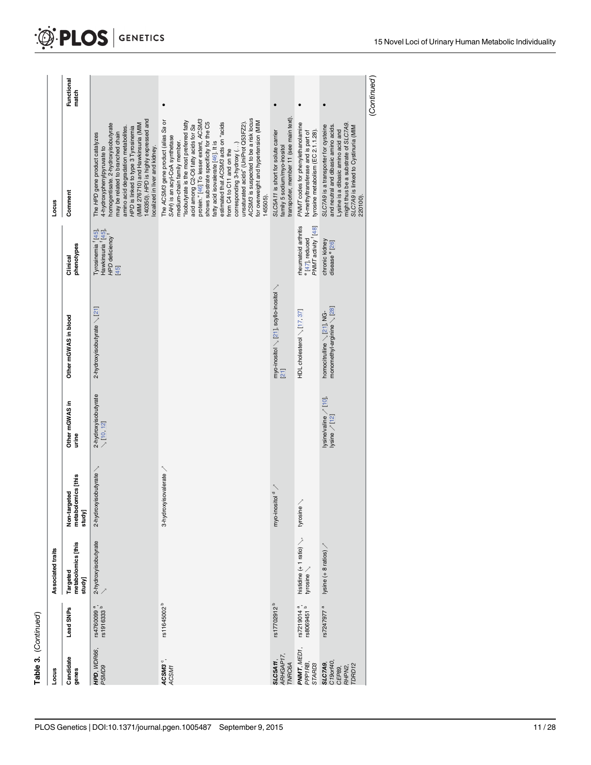<span id="page-10-0"></span>

| Table 3. (Continued)                                     |                                                    |                                                |                                              |                                             |                                                                   |                                                                                          |                                                                                                                                                                                                                                                                                                                                                                                                                                                                                                                                                          |                     |
|----------------------------------------------------------|----------------------------------------------------|------------------------------------------------|----------------------------------------------|---------------------------------------------|-------------------------------------------------------------------|------------------------------------------------------------------------------------------|----------------------------------------------------------------------------------------------------------------------------------------------------------------------------------------------------------------------------------------------------------------------------------------------------------------------------------------------------------------------------------------------------------------------------------------------------------------------------------------------------------------------------------------------------------|---------------------|
| Locus                                                    |                                                    | Associated traits                              |                                              |                                             |                                                                   |                                                                                          | Locus                                                                                                                                                                                                                                                                                                                                                                                                                                                                                                                                                    |                     |
| Candidate<br>genes                                       | Lead SNPs                                          | metabolomics [this<br>Targeted<br>study]       | metabolomics [this<br>Non-targeted<br>study] | Other mGWAS in<br>urine                     | Other mGWAS in blood                                              | phenotypes<br>Clinical                                                                   | Comment                                                                                                                                                                                                                                                                                                                                                                                                                                                                                                                                                  | Functional<br>match |
| HPD, WDR66,<br>PSMD9                                     | rs4760099 <sup>a</sup> ,<br>rs1916333 <sup>b</sup> | 2-hydroxyisobutyrate                           | 2-hydroxyisobutyrate                         | 2-hydroxyisobutyrate<br>∖ [1 <u>0, 12</u> ] | 2-hydroxyisobutyrate \[21]                                        | Tyrosinemia [45]<br>Hawkinsuria <sup>f</sup> [45]<br>HPD deficiency <sup>1</sup><br>[45] | 140350). HPD is highly expressed and<br>(MIM 276710) and Hawkinsuria (MIM<br>homogentisate. 2-hydroxyisobutyrate<br>amino acid degradation metabolites.<br>HPD is linked to type 3 Tyrosinemia<br>may be related to branched chain<br>The HPD gene product catalyzes<br>localized in liver and kidney.<br>4-hydroxyphenylpyruvate to                                                                                                                                                                                                                     |                     |
| ACSM3 <sup>°</sup> ,<br>ACSM1                            | rs11645002 <sup>b</sup>                            |                                                | 3-hydroxyisovalerate                         |                                             |                                                                   |                                                                                          | ACSM3 is suspected to be a risk locus<br>protein." [46] To lesser extent, ACSM3<br>The ACSM3 gene product (alias Sa or<br>"Isobutyrate is the most preferred fatty<br>for overweight and hypertension (MIM<br>shows substrate specificity for the C5<br>estimated that ACSM3 acts on "acids<br>unsaturated acids" (UniProt Q53FZ2).<br>acid among C2-C6 fatty acids for Sa<br>SAH) is an acyl-CoA synthetase<br>medium-chain family member.<br>fatty acid isovalerate [46]. It is<br>corresponding 3-hydroxy ()<br>from C4 to C11 and on the<br>145505). |                     |
| ARHGAP17,<br>SLC5A11<br><b>TVRC6A</b>                    | rs17702912 <sup>b</sup>                            |                                                | myo-inositol <sup>d</sup>                    |                                             | myo-inositol $\searrow$ [21], scyllo-inositol $\searrow$          |                                                                                          | transporter, member 11 (see main text)<br>SLC5A11 is short for solute carrier<br>family 5 sodium/myo-inositol                                                                                                                                                                                                                                                                                                                                                                                                                                            |                     |
| PNMT, MED1,<br>PPP1RB,<br>STARD3                         | rs7219014 <sup>a</sup> ,<br>rs8069451 <sup>b</sup> | histidine $(+ 1$ ratio) $\searrow$<br>tyrosine | tyrosine                                     |                                             | HDL cholesterol $\setminus$ [17, 37]                              | rheumatoid arthritis<br>PMMT activity [48]<br>e [47], reduced                            | PNM7 codes for phenylethanolamine<br>N-methyltransferase and is part of<br>tyrosine metabolism (EC 2.1.1.28).                                                                                                                                                                                                                                                                                                                                                                                                                                            |                     |
| C19orf40,<br><b>SLC7A9</b><br>TDRD12<br>RHPN2,<br>CEP89, | rs7247977 <sup>a</sup>                             | lysine (+8 ratios)                             |                                              | lysine/valine / [10],<br>ysine / [12]       | monomethyl-arginine $\setminus$ [28]<br>homocitrulline \[21], NG- | chronic kidney<br>disease <sup>e</sup> [26]                                              | might thus be a substrate of SLC7A9.<br>SLC7A9 is a transporter for cysteine<br>and neutral and dibasic amino acids.<br>SLC7A9 is linked to Cystinuria (MIM<br>Lysine is a dibasic amino acid and<br>220100).                                                                                                                                                                                                                                                                                                                                            |                     |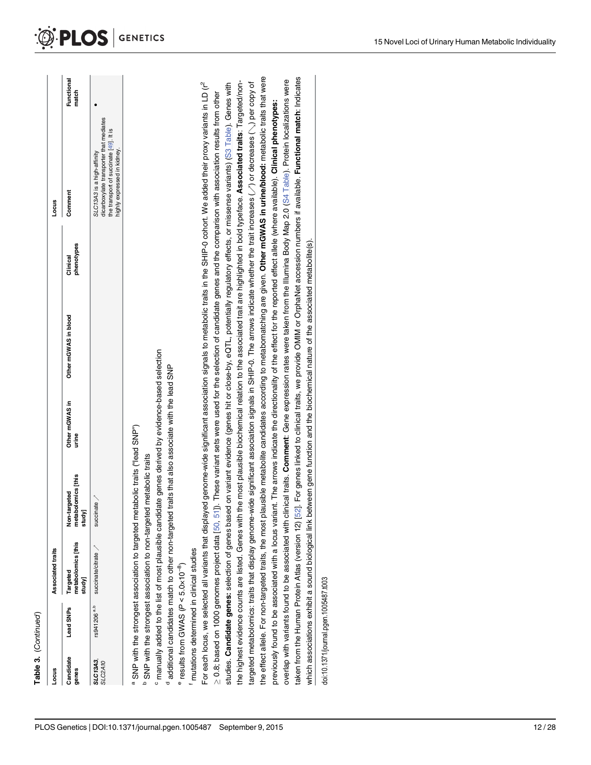<span id="page-11-0"></span>

| Table 3. (Continued)                                                                                          |                                          |                                                                              |                                              |                                                                                                                                      |                        |                                                                                                                                                                                                                                                                                                                                                                            |            |
|---------------------------------------------------------------------------------------------------------------|------------------------------------------|------------------------------------------------------------------------------|----------------------------------------------|--------------------------------------------------------------------------------------------------------------------------------------|------------------------|----------------------------------------------------------------------------------------------------------------------------------------------------------------------------------------------------------------------------------------------------------------------------------------------------------------------------------------------------------------------------|------------|
| Locus                                                                                                         | Associated traits                        |                                                                              |                                              |                                                                                                                                      |                        | Locus                                                                                                                                                                                                                                                                                                                                                                      |            |
| Lead SNPs<br>Candidate<br>genes                                                                               | netabolomics [this<br>Targeted<br>study] | metabolomics [this<br>rgeted<br>Non-ta<br>study]                             | Other mGWAS in<br>urine                      | Other mGWAS in blood                                                                                                                 | phenotypes<br>Clinical | match<br>Comment                                                                                                                                                                                                                                                                                                                                                           | Functional |
| rs941206 <sup>a,b</sup><br><b>SLC13A3</b> ,<br>SLC2A10                                                        | succinate/citrate                        | succinate /                                                                  |                                              |                                                                                                                                      |                        | dicarboxylate transporter that mediates<br>ll IS<br>the transport of succinate [49].<br>highly expressed in kidney.<br>SLC13A3 is a high-affinity                                                                                                                                                                                                                          |            |
| a                                                                                                             |                                          | SNP with the strongest association to targeted metabolic traits ("lead SNP") |                                              |                                                                                                                                      |                        |                                                                                                                                                                                                                                                                                                                                                                            |            |
|                                                                                                               |                                          | SNP with the strongest association to non-targeted metabolic traits          |                                              |                                                                                                                                      |                        |                                                                                                                                                                                                                                                                                                                                                                            |            |
| <sup>c</sup> manually added to the list of most plausible candidate genes derived by evidence-based selection |                                          |                                                                              |                                              |                                                                                                                                      |                        |                                                                                                                                                                                                                                                                                                                                                                            |            |
| additional candidates match to other non-targeted                                                             |                                          |                                                                              | traits that also associate with the lead SNP |                                                                                                                                      |                        |                                                                                                                                                                                                                                                                                                                                                                            |            |
| results from GWAS ( $P < 5.0 \times 10^{-8}$ )                                                                |                                          |                                                                              |                                              |                                                                                                                                      |                        |                                                                                                                                                                                                                                                                                                                                                                            |            |
| mutations determined in clinical studies                                                                      |                                          |                                                                              |                                              |                                                                                                                                      |                        |                                                                                                                                                                                                                                                                                                                                                                            |            |
|                                                                                                               |                                          |                                                                              |                                              |                                                                                                                                      |                        | For each locus, we selected all variants that displayed genome-wide significant association signals to metabolic traits in the SHIP-0 cohort. We added their proxy variants in LD (r <sup>2</sup>                                                                                                                                                                          |            |
| $\geq$ 0.8; based on 1000 genomes project data $[50, 51]$                                                     |                                          |                                                                              |                                              |                                                                                                                                      |                        | j). These variant sets were used for the selection of candidate genes and the comparison with association results from other                                                                                                                                                                                                                                               |            |
|                                                                                                               |                                          |                                                                              |                                              |                                                                                                                                      |                        | the highest evidence counts are listed. Genes with the most plausible biochemical relation to the associated trait are highlighted in bold typeface. Associated traits: Targeted/non-<br>studies. Candidate genes: selection of genes based on variant evidence (genes hit or close-by, eQTL, potentially regulatory effects, or missense variants) (S3 Table). Genes with |            |
|                                                                                                               |                                          |                                                                              |                                              |                                                                                                                                      |                        | targeted metabolomics: traits that display genome-wide significant association signals in SHIP-0. The arrows indicate whether the trait increases (~) or decreases (~) per copy of                                                                                                                                                                                         |            |
|                                                                                                               |                                          |                                                                              |                                              |                                                                                                                                      |                        | the effect allele. For non-targeted traits, the most plausible metabolite candidates according to metabomatching are given. Other mGWAS in urine/blood: metabolic traits that were                                                                                                                                                                                         |            |
|                                                                                                               |                                          |                                                                              |                                              |                                                                                                                                      |                        | previously found to be associated with a locus variant. The arrows indicate the directionality of the effect for the reported effect allele (where available). Clinical phenotypes:                                                                                                                                                                                        |            |
|                                                                                                               |                                          |                                                                              |                                              |                                                                                                                                      |                        | overlap with variants found to be associated with clinical traits. Comment: Gene expression rates were taken from the Illumina Body Map 2.0 (S4 Table). Protein localizations were                                                                                                                                                                                         |            |
|                                                                                                               |                                          |                                                                              |                                              |                                                                                                                                      |                        | taken from the Human Protein Atlas (version 12) [52]. For genes linked to clinical traits, we provide OMIM or OrphaNet accession numbers if available. F <b>unctional match</b> : Indicates                                                                                                                                                                                |            |
|                                                                                                               |                                          |                                                                              |                                              | which associations exhibit a sound biological link between gene function and the biochemical nature of the associated metabolite(s). |                        |                                                                                                                                                                                                                                                                                                                                                                            |            |
| doi:10.1371/journal.pgen.1005487.t003                                                                         |                                          |                                                                              |                                              |                                                                                                                                      |                        |                                                                                                                                                                                                                                                                                                                                                                            |            |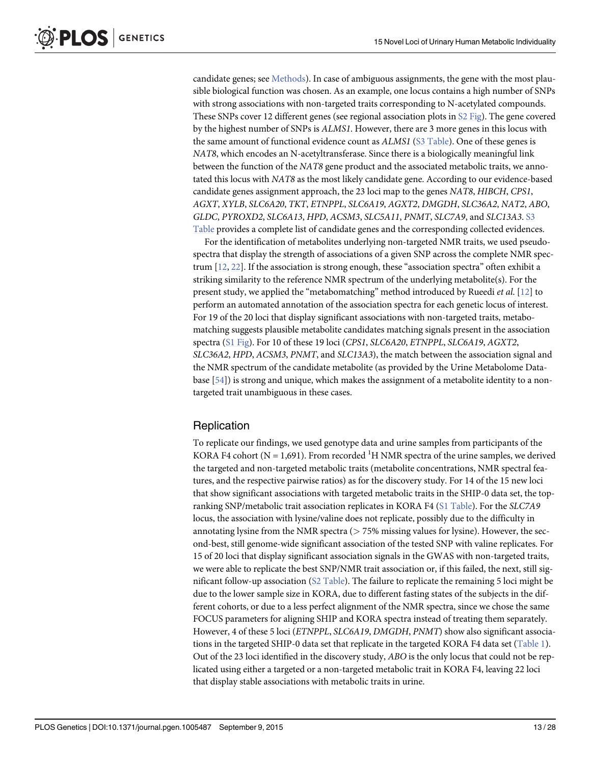<span id="page-12-0"></span>candidate genes; see [Methods\)](#page-18-0). In case of ambiguous assignments, the gene with the most plausible biological function was chosen. As an example, one locus contains a high number of SNPs with strong associations with non-targeted traits corresponding to N-acetylated compounds. These SNPs cover 12 different genes (see regional association plots in [S2 Fig\)](#page-21-0). The gene covered by the highest number of SNPs is ALMS1. However, there are 3 more genes in this locus with the same amount of functional evidence count as ALMS1 [\(S3 Table](#page-22-0)). One of these genes is NAT8, which encodes an N-acetyltransferase. Since there is a biologically meaningful link between the function of the NAT8 gene product and the associated metabolic traits, we annotated this locus with NAT8 as the most likely candidate gene. According to our evidence-based candidate genes assignment approach, the 23 loci map to the genes NAT8, HIBCH, CPS1, AGXT, XYLB, SLC6A20, TKT, ETNPPL, SLC6A19, AGXT2, DMGDH, SLC36A2, NAT2, ABO, GLDC, PYROXD2, SLC6A13, HPD, ACSM3, SLC5A11, PNMT, SLC7A9, and SLC13A3. [S3](#page-22-0) [Table](#page-22-0) provides a complete list of candidate genes and the corresponding collected evidences.

For the identification of metabolites underlying non-targeted NMR traits, we used pseudospectra that display the strength of associations of a given SNP across the complete NMR spectrum [[12](#page-23-0), [22](#page-24-0)]. If the association is strong enough, these "association spectra" often exhibit a striking similarity to the reference NMR spectrum of the underlying metabolite(s). For the present study, we applied the "metabomatching" method introduced by Rueedi et al. [\[12\]](#page-23-0) to perform an automated annotation of the association spectra for each genetic locus of interest. For 19 of the 20 loci that display significant associations with non-targeted traits, metabomatching suggests plausible metabolite candidates matching signals present in the association spectra ([S1 Fig](#page-21-0)). For 10 of these 19 loci (CPS1, SLC6A20, ETNPPL, SLC6A19, AGXT2, SLC36A2, HPD, ACSM3, PNMT, and SLC13A3), the match between the association signal and the NMR spectrum of the candidate metabolite (as provided by the Urine Metabolome Database [[54](#page-26-0)]) is strong and unique, which makes the assignment of a metabolite identity to a nontargeted trait unambiguous in these cases.

#### **Replication**

To replicate our findings, we used genotype data and urine samples from participants of the KORA F4 cohort (N = 1,691). From recorded <sup>1</sup>H NMR spectra of the urine samples, we derived the targeted and non-targeted metabolic traits (metabolite concentrations, NMR spectral features, and the respective pairwise ratios) as for the discovery study. For 14 of the 15 new loci that show significant associations with targeted metabolic traits in the SHIP-0 data set, the topranking SNP/metabolic trait association replicates in KORA F4 [\(S1 Table](#page-22-0)). For the SLC7A9 locus, the association with lysine/valine does not replicate, possibly due to the difficulty in annotating lysine from the NMR spectra ( $> 75\%$  missing values for lysine). However, the second-best, still genome-wide significant association of the tested SNP with valine replicates. For 15 of 20 loci that display significant association signals in the GWAS with non-targeted traits, we were able to replicate the best SNP/NMR trait association or, if this failed, the next, still significant follow-up association [\(S2 Table](#page-22-0)). The failure to replicate the remaining 5 loci might be due to the lower sample size in KORA, due to different fasting states of the subjects in the different cohorts, or due to a less perfect alignment of the NMR spectra, since we chose the same FOCUS parameters for aligning SHIP and KORA spectra instead of treating them separately. However, 4 of these 5 loci (ETNPPL, SLC6A19, DMGDH, PNMT) show also significant associations in the targeted SHIP-0 data set that replicate in the targeted KORA F4 data set ([Table 1](#page-5-0)). Out of the 23 loci identified in the discovery study, ABO is the only locus that could not be replicated using either a targeted or a non-targeted metabolic trait in KORA F4, leaving 22 loci that display stable associations with metabolic traits in urine.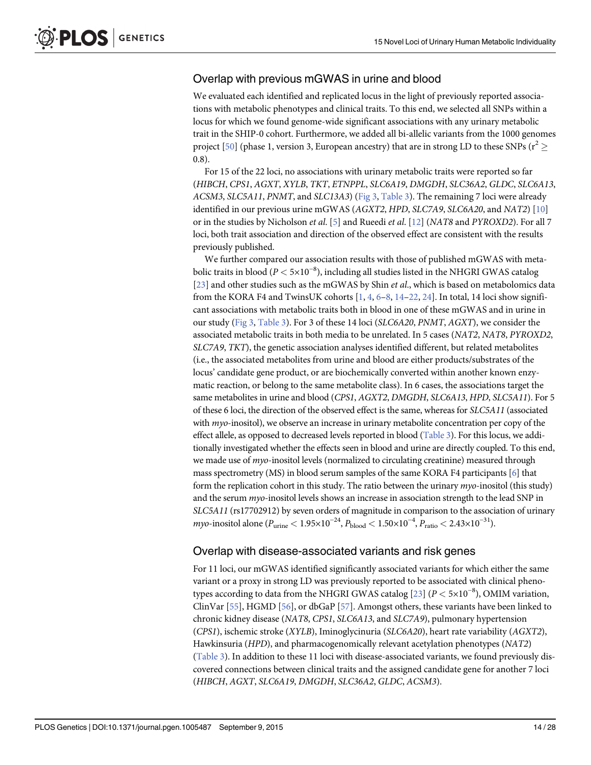### <span id="page-13-0"></span>Overlap with previous mGWAS in urine and blood

We evaluated each identified and replicated locus in the light of previously reported associations with metabolic phenotypes and clinical traits. To this end, we selected all SNPs within a locus for which we found genome-wide significant associations with any urinary metabolic trait in the SHIP-0 cohort. Furthermore, we added all bi-allelic variants from the 1000 genomes project [\[50\]](#page-26-0) (phase 1, version 3, European ancestry) that are in strong LD to these SNPs ( $r^2 \ge$ 0.8).

For 15 of the 22 loci, no associations with urinary metabolic traits were reported so far (HIBCH, CPS1, AGXT, XYLB, TKT, ETNPPL, SLC6A19, DMGDH, SLC36A2, GLDC, SLC6A13, ACSM3, SLC5A11, PNMT, and SLC13A3) [\(Fig 3,](#page-7-0) [Table 3](#page-8-0)). The remaining 7 loci were already identified in our previous urine mGWAS (AGXT2, HPD, SLC7A9, SLC6A20, and NAT2) [\[10\]](#page-23-0) or in the studies by Nicholson *et al.* [[5\]](#page-23-0) and Rueedi *et al.* [[12](#page-23-0)] (NAT8 and PYROXD2). For all 7 loci, both trait association and direction of the observed effect are consistent with the results previously published.

We further compared our association results with those of published mGWAS with metabolic traits in blood (P < 5×10−<sup>8</sup> ), including all studies listed in the NHGRI GWAS catalog [\[23](#page-24-0)] and other studies such as the mGWAS by Shin et al., which is based on metabolomics data from the KORA F4 and TwinsUK cohorts  $[1, 4, 6-8, 14-22, 24]$  $[1, 4, 6-8, 14-22, 24]$  $[1, 4, 6-8, 14-22, 24]$  $[1, 4, 6-8, 14-22, 24]$  $[1, 4, 6-8, 14-22, 24]$  $[1, 4, 6-8, 14-22, 24]$  $[1, 4, 6-8, 14-22, 24]$  $[1, 4, 6-8, 14-22, 24]$  $[1, 4, 6-8, 14-22, 24]$  $[1, 4, 6-8, 14-22, 24]$  $[1, 4, 6-8, 14-22, 24]$  $[1, 4, 6-8, 14-22, 24]$  $[1, 4, 6-8, 14-22, 24]$  $[1, 4, 6-8, 14-22, 24]$  $[1, 4, 6-8, 14-22, 24]$ . In total, 14 loci show significant associations with metabolic traits both in blood in one of these mGWAS and in urine in our study [\(Fig 3,](#page-7-0) [Table 3](#page-8-0)). For 3 of these 14 loci (SLC6A20, PNMT, AGXT), we consider the associated metabolic traits in both media to be unrelated. In 5 cases (NAT2, NAT8, PYROXD2, SLC7A9, TKT), the genetic association analyses identified different, but related metabolites (i.e., the associated metabolites from urine and blood are either products/substrates of the locus' candidate gene product, or are biochemically converted within another known enzymatic reaction, or belong to the same metabolite class). In 6 cases, the associations target the same metabolites in urine and blood (CPS1, AGXT2, DMGDH, SLC6A13, HPD, SLC5A11). For 5 of these 6 loci, the direction of the observed effect is the same, whereas for SLC5A11 (associated with  $myo$ -inositol), we observe an increase in urinary metabolite concentration per copy of the effect allele, as opposed to decreased levels reported in blood ([Table 3](#page-8-0)). For this locus, we additionally investigated whether the effects seen in blood and urine are directly coupled. To this end, we made use of *myo*-inositol levels (normalized to circulating creatinine) measured through mass spectrometry (MS) in blood serum samples of the same KORA F4 participants  $[6]$  $[6]$  $[6]$  that form the replication cohort in this study. The ratio between the urinary myo-inositol (this study) and the serum myo-inositol levels shows an increase in association strength to the lead SNP in SLC5A11 (rs17702912) by seven orders of magnitude in comparison to the association of urinary *myo*-inositol alone ( $P_{\rm urine}$  <  $1.95 \times 10^{-24}$ ,  $P_{\rm blood}$  <  $1.50 \times 10^{-4}$ ,  $P_{\rm ratio}$  <  $2.43 \times 10^{-31}$ ).

#### Overlap with disease-associated variants and risk genes

For 11 loci, our mGWAS identified significantly associated variants for which either the same variant or a proxy in strong LD was previously reported to be associated with clinical phenotypes according to data from the NHGRI GWAS catalog  $[23]$   $(P < 5 \times 10^{-8})$ , OMIM variation, ClinVar [[55](#page-26-0)], HGMD [[56](#page-26-0)], or dbGaP [[57](#page-26-0)]. Amongst others, these variants have been linked to chronic kidney disease (NAT8, CPS1, SLC6A13, and SLC7A9), pulmonary hypertension (CPS1), ischemic stroke (XYLB), Iminoglycinuria (SLC6A20), heart rate variability (AGXT2), Hawkinsuria (HPD), and pharmacogenomically relevant acetylation phenotypes (NAT2) [\(Table 3\)](#page-8-0). In addition to these 11 loci with disease-associated variants, we found previously discovered connections between clinical traits and the assigned candidate gene for another 7 loci (HIBCH, AGXT, SLC6A19, DMGDH, SLC36A2, GLDC, ACSM3).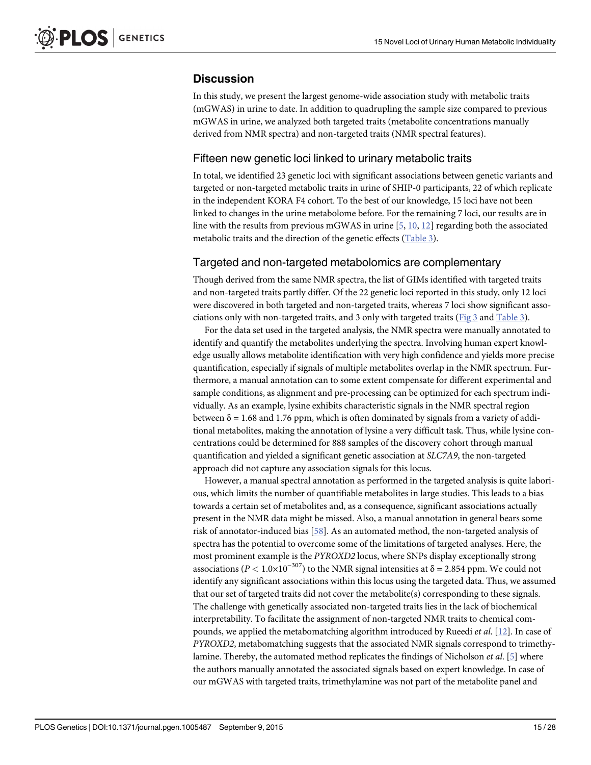#### <span id="page-14-0"></span>**Discussion**

In this study, we present the largest genome-wide association study with metabolic traits (mGWAS) in urine to date. In addition to quadrupling the sample size compared to previous mGWAS in urine, we analyzed both targeted traits (metabolite concentrations manually derived from NMR spectra) and non-targeted traits (NMR spectral features).

#### Fifteen new genetic loci linked to urinary metabolic traits

In total, we identified 23 genetic loci with significant associations between genetic variants and targeted or non-targeted metabolic traits in urine of SHIP-0 participants, 22 of which replicate in the independent KORA F4 cohort. To the best of our knowledge, 15 loci have not been linked to changes in the urine metabolome before. For the remaining 7 loci, our results are in line with the results from previous mGWAS in urine  $[5, 10, 12]$  $[5, 10, 12]$  $[5, 10, 12]$  $[5, 10, 12]$  $[5, 10, 12]$  $[5, 10, 12]$  regarding both the associated metabolic traits and the direction of the genetic effects ([Table 3\)](#page-8-0).

#### Targeted and non-targeted metabolomics are complementary

Though derived from the same NMR spectra, the list of GIMs identified with targeted traits and non-targeted traits partly differ. Of the 22 genetic loci reported in this study, only 12 loci were discovered in both targeted and non-targeted traits, whereas 7 loci show significant associations only with non-targeted traits, and 3 only with targeted traits ( $Fig 3$  and  $Table 3$ ).

For the data set used in the targeted analysis, the NMR spectra were manually annotated to identify and quantify the metabolites underlying the spectra. Involving human expert knowledge usually allows metabolite identification with very high confidence and yields more precise quantification, especially if signals of multiple metabolites overlap in the NMR spectrum. Furthermore, a manual annotation can to some extent compensate for different experimental and sample conditions, as alignment and pre-processing can be optimized for each spectrum individually. As an example, lysine exhibits characteristic signals in the NMR spectral region between  $\delta$  = 1.68 and 1.76 ppm, which is often dominated by signals from a variety of additional metabolites, making the annotation of lysine a very difficult task. Thus, while lysine concentrations could be determined for 888 samples of the discovery cohort through manual quantification and yielded a significant genetic association at SLC7A9, the non-targeted approach did not capture any association signals for this locus.

However, a manual spectral annotation as performed in the targeted analysis is quite laborious, which limits the number of quantifiable metabolites in large studies. This leads to a bias towards a certain set of metabolites and, as a consequence, significant associations actually present in the NMR data might be missed. Also, a manual annotation in general bears some risk of annotator-induced bias [\[58](#page-26-0)]. As an automated method, the non-targeted analysis of spectra has the potential to overcome some of the limitations of targeted analyses. Here, the most prominent example is the PYROXD2 locus, where SNPs display exceptionally strong associations ( $P < 1.0 \times 10^{-307}$ ) to the NMR signal intensities at  $\delta = 2.854$  ppm. We could not identify any significant associations within this locus using the targeted data. Thus, we assumed that our set of targeted traits did not cover the metabolite(s) corresponding to these signals. The challenge with genetically associated non-targeted traits lies in the lack of biochemical interpretability. To facilitate the assignment of non-targeted NMR traits to chemical compounds, we applied the metabomatching algorithm introduced by Rueedi *et al.* [\[12\]](#page-23-0). In case of PYROXD2, metabomatching suggests that the associated NMR signals correspond to trimethylamine. Thereby, the automated method replicates the findings of Nicholson et al. [\[5](#page-23-0)] where the authors manually annotated the associated signals based on expert knowledge. In case of our mGWAS with targeted traits, trimethylamine was not part of the metabolite panel and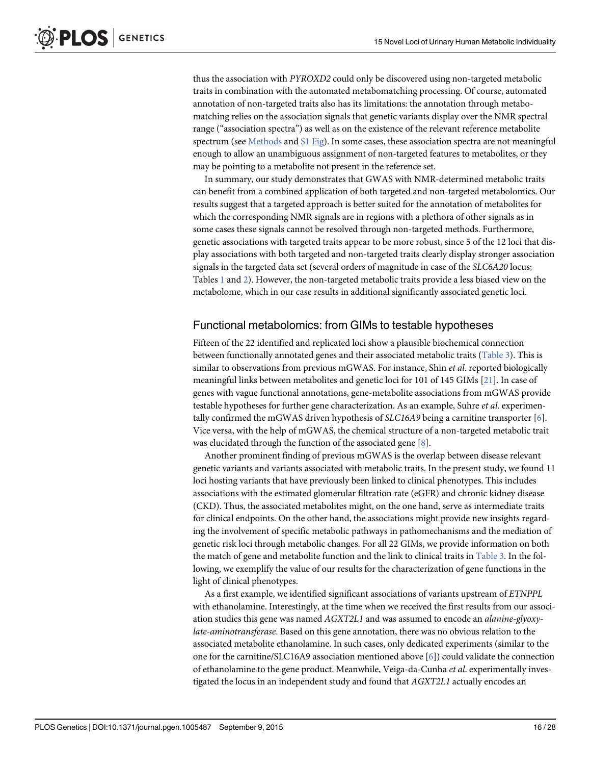thus the association with PYROXD2 could only be discovered using non-targeted metabolic traits in combination with the automated metabomatching processing. Of course, automated annotation of non-targeted traits also has its limitations: the annotation through metabomatching relies on the association signals that genetic variants display over the NMR spectral range ("association spectra") as well as on the existence of the relevant reference metabolite spectrum (see [Methods](#page-18-0) and  $SI$  Fig). In some cases, these association spectra are not meaningful enough to allow an unambiguous assignment of non-targeted features to metabolites, or they may be pointing to a metabolite not present in the reference set.

In summary, our study demonstrates that GWAS with NMR-determined metabolic traits can benefit from a combined application of both targeted and non-targeted metabolomics. Our results suggest that a targeted approach is better suited for the annotation of metabolites for which the corresponding NMR signals are in regions with a plethora of other signals as in some cases these signals cannot be resolved through non-targeted methods. Furthermore, genetic associations with targeted traits appear to be more robust, since 5 of the 12 loci that display associations with both targeted and non-targeted traits clearly display stronger association signals in the targeted data set (several orders of magnitude in case of the SLC6A20 locus; Tables [1](#page-5-0) and [2](#page-6-0)). However, the non-targeted metabolic traits provide a less biased view on the metabolome, which in our case results in additional significantly associated genetic loci.

#### Functional metabolomics: from GIMs to testable hypotheses

Fifteen of the 22 identified and replicated loci show a plausible biochemical connection between functionally annotated genes and their associated metabolic traits [\(Table 3](#page-8-0)). This is similar to observations from previous mGWAS. For instance, Shin et al. reported biologically meaningful links between metabolites and genetic loci for 101 of 145 GIMs [\[21\]](#page-24-0). In case of genes with vague functional annotations, gene-metabolite associations from mGWAS provide testable hypotheses for further gene characterization. As an example, Suhre *et al.* experimentally confirmed the mGWAS driven hypothesis of  $SLC16A9$  being a carnitine transporter [\[6](#page-23-0)]. Vice versa, with the help of mGWAS, the chemical structure of a non-targeted metabolic trait was elucidated through the function of the associated gene [\[8\]](#page-23-0).

Another prominent finding of previous mGWAS is the overlap between disease relevant genetic variants and variants associated with metabolic traits. In the present study, we found 11 loci hosting variants that have previously been linked to clinical phenotypes. This includes associations with the estimated glomerular filtration rate (eGFR) and chronic kidney disease (CKD). Thus, the associated metabolites might, on the one hand, serve as intermediate traits for clinical endpoints. On the other hand, the associations might provide new insights regarding the involvement of specific metabolic pathways in pathomechanisms and the mediation of genetic risk loci through metabolic changes. For all 22 GIMs, we provide information on both the match of gene and metabolite function and the link to clinical traits in [Table 3](#page-8-0). In the following, we exemplify the value of our results for the characterization of gene functions in the light of clinical phenotypes.

As a first example, we identified significant associations of variants upstream of ETNPPL with ethanolamine. Interestingly, at the time when we received the first results from our association studies this gene was named AGXT2L1 and was assumed to encode an alanine-glyoxylate-aminotransferase. Based on this gene annotation, there was no obvious relation to the associated metabolite ethanolamine. In such cases, only dedicated experiments (similar to the one for the carnitine/SLC16A9 association mentioned above  $[6]$  $[6]$ ) could validate the connection of ethanolamine to the gene product. Meanwhile, Veiga-da-Cunha et al. experimentally investigated the locus in an independent study and found that AGXT2L1 actually encodes an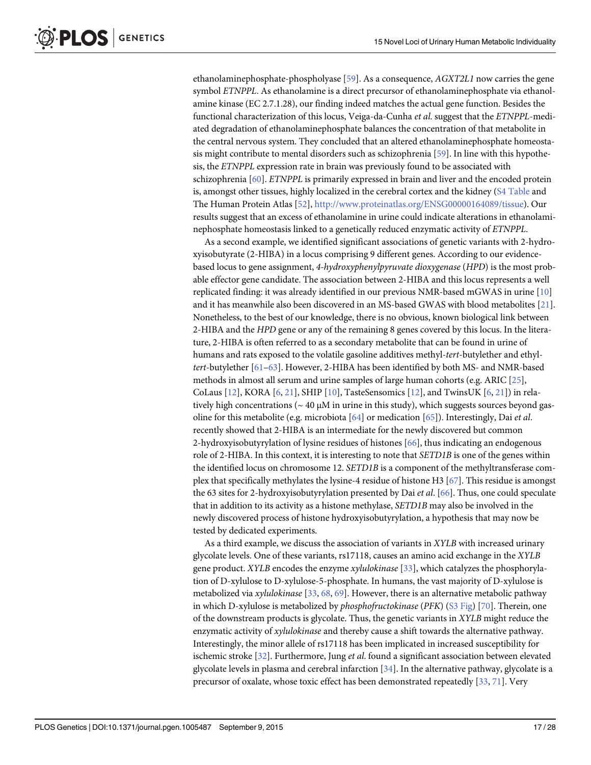<span id="page-16-0"></span>ethanolaminephosphate-phospholyase [\[59\]](#page-26-0). As a consequence, AGXT2L1 now carries the gene symbol ETNPPL. As ethanolamine is a direct precursor of ethanolaminephosphate via ethanolamine kinase (EC 2.7.1.28), our finding indeed matches the actual gene function. Besides the functional characterization of this locus, Veiga-da-Cunha et al. suggest that the ETNPPL-mediated degradation of ethanolaminephosphate balances the concentration of that metabolite in the central nervous system. They concluded that an altered ethanolaminephosphate homeostasis might contribute to mental disorders such as schizophrenia [[59](#page-26-0)]. In line with this hypothesis, the ETNPPL expression rate in brain was previously found to be associated with schizophrenia [\[60\]](#page-26-0). ETNPPL is primarily expressed in brain and liver and the encoded protein is, amongst other tissues, highly localized in the cerebral cortex and the kidney [\(S4 Table](#page-23-0) and The Human Protein Atlas [[52](#page-26-0)], [http://www.proteinatlas.org/ENSG00000164089/tissue\)](http://www.proteinatlas.org/ENSG00000164089/tissue). Our results suggest that an excess of ethanolamine in urine could indicate alterations in ethanolaminephosphate homeostasis linked to a genetically reduced enzymatic activity of ETNPPL.

As a second example, we identified significant associations of genetic variants with 2-hydroxyisobutyrate (2-HIBA) in a locus comprising 9 different genes. According to our evidencebased locus to gene assignment, 4-hydroxyphenylpyruvate dioxygenase (HPD) is the most probable effector gene candidate. The association between 2-HIBA and this locus represents a well replicated finding: it was already identified in our previous NMR-based mGWAS in urine [\[10\]](#page-23-0) and it has meanwhile also been discovered in an MS-based GWAS with blood metabolites [\[21\]](#page-24-0). Nonetheless, to the best of our knowledge, there is no obvious, known biological link between 2-HIBA and the HPD gene or any of the remaining 8 genes covered by this locus. In the literature, 2-HIBA is often referred to as a secondary metabolite that can be found in urine of humans and rats exposed to the volatile gasoline additives methyl-tert-butylether and ethyltert-butylether [[61](#page-26-0)–[63\]](#page-26-0). However, 2-HIBA has been identified by both MS- and NMR-based methods in almost all serum and urine samples of large human cohorts (e.g. ARIC [\[25](#page-24-0)], CoLaus [[12](#page-23-0)], KORA [[6,](#page-23-0) [21\]](#page-24-0), SHIP [\[10](#page-23-0)], TasteSensomics [\[12](#page-23-0)], and TwinsUK [\[6](#page-23-0), [21](#page-24-0)]) in relatively high concentrations ( $\sim 40 \mu M$  in urine in this study), which suggests sources beyond gasoline for this metabolite (e.g. microbiota [[64](#page-26-0)] or medication [\[65\]](#page-26-0)). Interestingly, Dai et al. recently showed that 2-HIBA is an intermediate for the newly discovered but common 2-hydroxyisobutyrylation of lysine residues of histones [\[66\]](#page-26-0), thus indicating an endogenous role of 2-HIBA. In this context, it is interesting to note that SETD1B is one of the genes within the identified locus on chromosome 12. SETD1B is a component of the methyltransferase complex that specifically methylates the lysine-4 residue of histone H3 [\[67](#page-26-0)]. This residue is amongst the 63 sites for 2-hydroxyisobutyrylation presented by Dai et al. [\[66](#page-26-0)]. Thus, one could speculate that in addition to its activity as a histone methylase, SETD1B may also be involved in the newly discovered process of histone hydroxyisobutyrylation, a hypothesis that may now be tested by dedicated experiments.

As a third example, we discuss the association of variants in XYLB with increased urinary glycolate levels. One of these variants, rs17118, causes an amino acid exchange in the XYLB gene product. XYLB encodes the enzyme xylulokinase [\[33\]](#page-25-0), which catalyzes the phosphorylation of D-xylulose to D-xylulose-5-phosphate. In humans, the vast majority of D-xylulose is metabolized via xylulokinase  $[33, 68, 69]$  $[33, 68, 69]$  $[33, 68, 69]$  $[33, 68, 69]$  $[33, 68, 69]$  $[33, 68, 69]$  $[33, 68, 69]$ . However, there is an alternative metabolic pathway in which D-xylulose is metabolized by *phosphofructokinase* (PFK)  $(S3$  Fig) [[70](#page-26-0)]. Therein, one of the downstream products is glycolate. Thus, the genetic variants in XYLB might reduce the enzymatic activity of *xylulokinase* and thereby cause a shift towards the alternative pathway. Interestingly, the minor allele of rs17118 has been implicated in increased susceptibility for ischemic stroke  $[32]$ . Furthermore, Jung et al. found a significant association between elevated glycolate levels in plasma and cerebral infarction [[34](#page-25-0)]. In the alternative pathway, glycolate is a precursor of oxalate, whose toxic effect has been demonstrated repeatedly [\[33,](#page-25-0) [71\]](#page-27-0). Very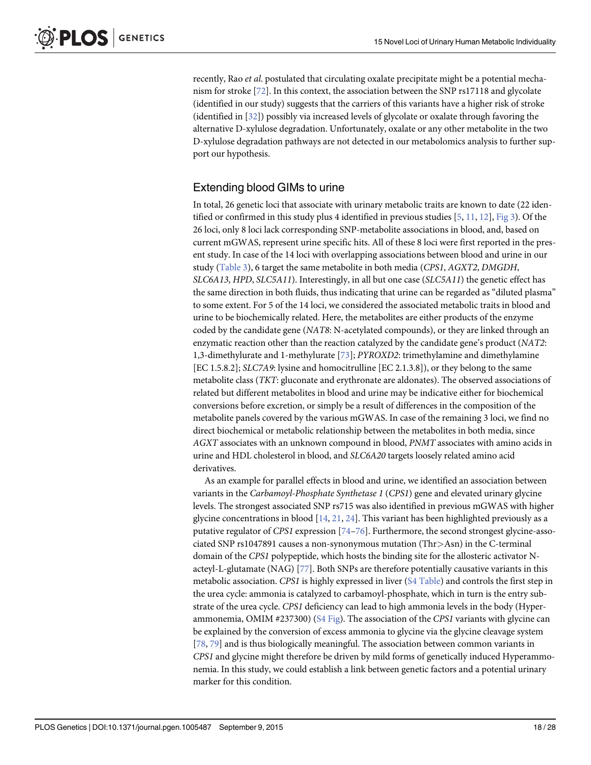<span id="page-17-0"></span>recently, Rao *et al.* postulated that circulating oxalate precipitate might be a potential mechanism for stroke [[72](#page-27-0)]. In this context, the association between the SNP rs17118 and glycolate (identified in our study) suggests that the carriers of this variants have a higher risk of stroke (identified in [\[32\]](#page-25-0)) possibly via increased levels of glycolate or oxalate through favoring the alternative D-xylulose degradation. Unfortunately, oxalate or any other metabolite in the two D-xylulose degradation pathways are not detected in our metabolomics analysis to further support our hypothesis.

#### Extending blood GIMs to urine

In total, 26 genetic loci that associate with urinary metabolic traits are known to date (22 identified or confirmed in this study plus 4 identified in previous studies  $[5, 11, 12]$  $[5, 11, 12]$  $[5, 11, 12]$  $[5, 11, 12]$  $[5, 11, 12]$  $[5, 11, 12]$  $[5, 11, 12]$ ,  $Fig 3$ ). Of the 26 loci, only 8 loci lack corresponding SNP-metabolite associations in blood, and, based on current mGWAS, represent urine specific hits. All of these 8 loci were first reported in the present study. In case of the 14 loci with overlapping associations between blood and urine in our study [\(Table 3\)](#page-8-0), 6 target the same metabolite in both media (CPS1, AGXT2, DMGDH, SLC6A13, HPD, SLC5A11). Interestingly, in all but one case (SLC5A11) the genetic effect has the same direction in both fluids, thus indicating that urine can be regarded as "diluted plasma" to some extent. For 5 of the 14 loci, we considered the associated metabolic traits in blood and urine to be biochemically related. Here, the metabolites are either products of the enzyme coded by the candidate gene (NAT8: N-acetylated compounds), or they are linked through an enzymatic reaction other than the reaction catalyzed by the candidate gene's product (NAT2: 1,3-dimethylurate and 1-methylurate [[73](#page-27-0)]; PYROXD2: trimethylamine and dimethylamine [EC 1.5.8.2]; SLC7A9: lysine and homocitrulline [EC 2.1.3.8]), or they belong to the same metabolite class (TKT: gluconate and erythronate are aldonates). The observed associations of related but different metabolites in blood and urine may be indicative either for biochemical conversions before excretion, or simply be a result of differences in the composition of the metabolite panels covered by the various mGWAS. In case of the remaining 3 loci, we find no direct biochemical or metabolic relationship between the metabolites in both media, since AGXT associates with an unknown compound in blood, PNMT associates with amino acids in urine and HDL cholesterol in blood, and SLC6A20 targets loosely related amino acid derivatives.

As an example for parallel effects in blood and urine, we identified an association between variants in the Carbamoyl-Phosphate Synthetase 1 (CPS1) gene and elevated urinary glycine levels. The strongest associated SNP rs715 was also identified in previous mGWAS with higher glycine concentrations in blood  $[14, 21, 24]$  $[14, 21, 24]$  $[14, 21, 24]$  $[14, 21, 24]$  $[14, 21, 24]$ . This variant has been highlighted previously as a putative regulator of CPS1 expression [[74](#page-27-0)-[76](#page-27-0)]. Furthermore, the second strongest glycine-associated SNP rs1047891 causes a non-synonymous mutation (Thr>Asn) in the C-terminal domain of the CPS1 polypeptide, which hosts the binding site for the allosteric activator Nacteyl-L-glutamate (NAG) [[77](#page-27-0)]. Both SNPs are therefore potentially causative variants in this metabolic association. CPS1 is highly expressed in liver [\(S4 Table](#page-23-0)) and controls the first step in the urea cycle: ammonia is catalyzed to carbamoyl-phosphate, which in turn is the entry substrate of the urea cycle. CPS1 deficiency can lead to high ammonia levels in the body (Hyperammonemia, OMIM  $#237300$ ) [\(S4 Fig](#page-22-0)). The association of the CPS1 variants with glycine can be explained by the conversion of excess ammonia to glycine via the glycine cleavage system [\[78](#page-27-0), [79\]](#page-27-0) and is thus biologically meaningful. The association between common variants in CPS1 and glycine might therefore be driven by mild forms of genetically induced Hyperammonemia. In this study, we could establish a link between genetic factors and a potential urinary marker for this condition.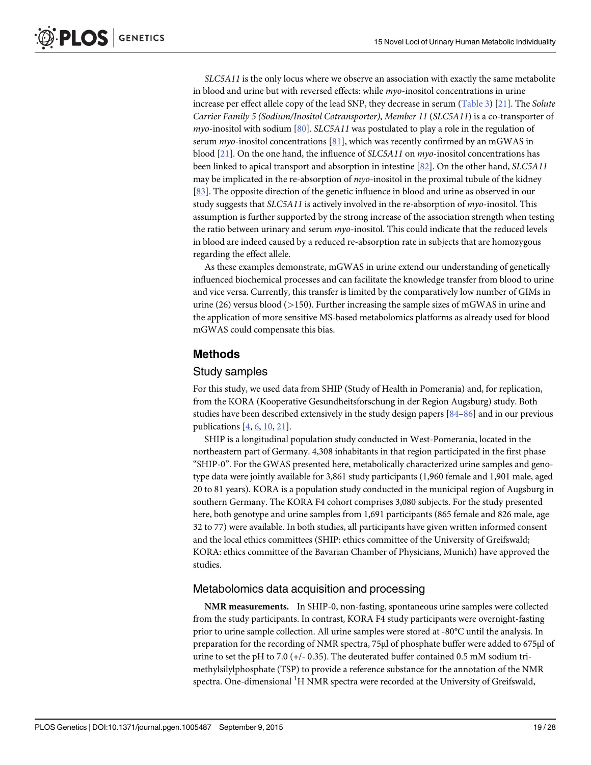<span id="page-18-0"></span>SLC5A11 is the only locus where we observe an association with exactly the same metabolite in blood and urine but with reversed effects: while myo-inositol concentrations in urine increase per effect allele copy of the lead SNP, they decrease in serum [\(Table 3](#page-8-0)) [\[21\]](#page-24-0). The Solute Carrier Family 5 (Sodium/Inositol Cotransporter), Member 11 (SLC5A11) is a co-transporter of  $myo$ -inositol with sodium [[80](#page-27-0)]. SLC5A11 was postulated to play a role in the regulation of serum  $myo$ -inositol concentrations [\[81\]](#page-27-0), which was recently confirmed by an mGWAS in blood  $[21]$ . On the one hand, the influence of SLC5A11 on myo-inositol concentrations has been linked to apical transport and absorption in intestine [\[82\]](#page-27-0). On the other hand, SLC5A11 may be implicated in the re-absorption of  $myo$ -inositol in the proximal tubule of the kidney [\[83](#page-27-0)]. The opposite direction of the genetic influence in blood and urine as observed in our study suggests that SLC5A11 is actively involved in the re-absorption of *myo*-inositol. This assumption is further supported by the strong increase of the association strength when testing the ratio between urinary and serum  $myo$ -inositol. This could indicate that the reduced levels in blood are indeed caused by a reduced re-absorption rate in subjects that are homozygous regarding the effect allele.

As these examples demonstrate, mGWAS in urine extend our understanding of genetically influenced biochemical processes and can facilitate the knowledge transfer from blood to urine and vice versa. Currently, this transfer is limited by the comparatively low number of GIMs in urine  $(26)$  versus blood  $(>150)$ . Further increasing the sample sizes of mGWAS in urine and the application of more sensitive MS-based metabolomics platforms as already used for blood mGWAS could compensate this bias.

#### Methods

#### Study samples

For this study, we used data from SHIP (Study of Health in Pomerania) and, for replication, from the KORA (Kooperative Gesundheitsforschung in der Region Augsburg) study. Both studies have been described extensively in the study design papers  $[84-86]$  $[84-86]$  $[84-86]$  $[84-86]$  $[84-86]$  and in our previous publications [\[4](#page-23-0), [6](#page-23-0), [10](#page-23-0), [21](#page-24-0)].

SHIP is a longitudinal population study conducted in West-Pomerania, located in the northeastern part of Germany. 4,308 inhabitants in that region participated in the first phase "SHIP-0". For the GWAS presented here, metabolically characterized urine samples and genotype data were jointly available for 3,861 study participants (1,960 female and 1,901 male, aged 20 to 81 years). KORA is a population study conducted in the municipal region of Augsburg in southern Germany. The KORA F4 cohort comprises 3,080 subjects. For the study presented here, both genotype and urine samples from 1,691 participants (865 female and 826 male, age 32 to 77) were available. In both studies, all participants have given written informed consent and the local ethics committees (SHIP: ethics committee of the University of Greifswald; KORA: ethics committee of the Bavarian Chamber of Physicians, Munich) have approved the studies.

#### Metabolomics data acquisition and processing

NMR measurements. In SHIP-0, non-fasting, spontaneous urine samples were collected from the study participants. In contrast, KORA F4 study participants were overnight-fasting prior to urine sample collection. All urine samples were stored at -80°C until the analysis. In preparation for the recording of NMR spectra, 75μl of phosphate buffer were added to 675μl of urine to set the pH to 7.0 (+/- 0.35). The deuterated buffer contained 0.5 mM sodium trimethylsilylphosphate (TSP) to provide a reference substance for the annotation of the NMR spectra. One-dimensional <sup>1</sup>H NMR spectra were recorded at the University of Greifswald,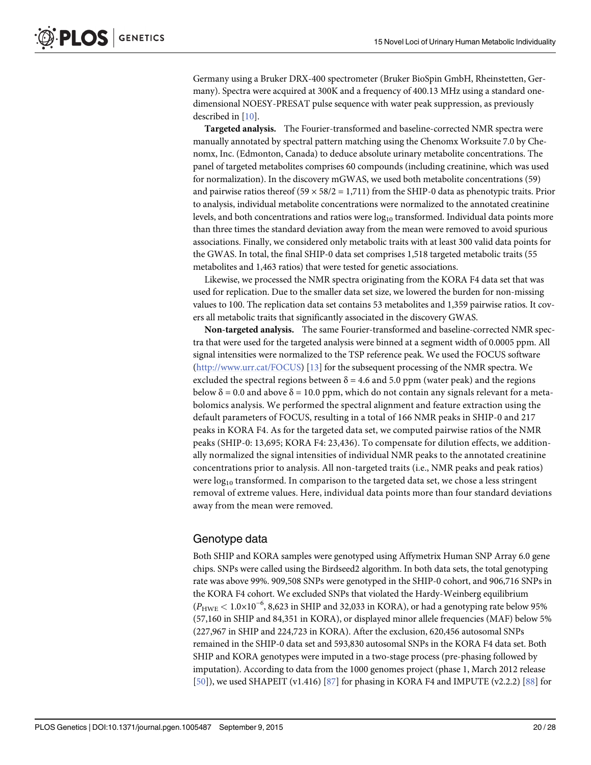<span id="page-19-0"></span>Germany using a Bruker DRX-400 spectrometer (Bruker BioSpin GmbH, Rheinstetten, Germany). Spectra were acquired at 300K and a frequency of 400.13 MHz using a standard onedimensional NOESY-PRESAT pulse sequence with water peak suppression, as previously described in [[10](#page-23-0)].

Targeted analysis. The Fourier-transformed and baseline-corrected NMR spectra were manually annotated by spectral pattern matching using the Chenomx Worksuite 7.0 by Chenomx, Inc. (Edmonton, Canada) to deduce absolute urinary metabolite concentrations. The panel of targeted metabolites comprises 60 compounds (including creatinine, which was used for normalization). In the discovery mGWAS, we used both metabolite concentrations (59) and pairwise ratios thereof (59  $\times$  58/2 = 1,711) from the SHIP-0 data as phenotypic traits. Prior to analysis, individual metabolite concentrations were normalized to the annotated creatinine levels, and both concentrations and ratios were  $log_{10}$  transformed. Individual data points more than three times the standard deviation away from the mean were removed to avoid spurious associations. Finally, we considered only metabolic traits with at least 300 valid data points for the GWAS. In total, the final SHIP-0 data set comprises 1,518 targeted metabolic traits (55 metabolites and 1,463 ratios) that were tested for genetic associations.

Likewise, we processed the NMR spectra originating from the KORA F4 data set that was used for replication. Due to the smaller data set size, we lowered the burden for non-missing values to 100. The replication data set contains 53 metabolites and 1,359 pairwise ratios. It covers all metabolic traits that significantly associated in the discovery GWAS.

Non-targeted analysis. The same Fourier-transformed and baseline-corrected NMR spectra that were used for the targeted analysis were binned at a segment width of 0.0005 ppm. All signal intensities were normalized to the TSP reference peak. We used the FOCUS software [\(http://www.urr.cat/FOCUS\)](http://www.urr.cat/FOCUS) [[13\]](#page-24-0) for the subsequent processing of the NMR spectra. We excluded the spectral regions between  $\delta = 4.6$  and 5.0 ppm (water peak) and the regions below  $\delta = 0.0$  and above  $\delta = 10.0$  ppm, which do not contain any signals relevant for a metabolomics analysis. We performed the spectral alignment and feature extraction using the default parameters of FOCUS, resulting in a total of 166 NMR peaks in SHIP-0 and 217 peaks in KORA F4. As for the targeted data set, we computed pairwise ratios of the NMR peaks (SHIP-0: 13,695; KORA F4: 23,436). To compensate for dilution effects, we additionally normalized the signal intensities of individual NMR peaks to the annotated creatinine concentrations prior to analysis. All non-targeted traits (i.e., NMR peaks and peak ratios) were  $log_{10}$  transformed. In comparison to the targeted data set, we chose a less stringent removal of extreme values. Here, individual data points more than four standard deviations away from the mean were removed.

### Genotype data

Both SHIP and KORA samples were genotyped using Affymetrix Human SNP Array 6.0 gene chips. SNPs were called using the Birdseed2 algorithm. In both data sets, the total genotyping rate was above 99%. 909,508 SNPs were genotyped in the SHIP-0 cohort, and 906,716 SNPs in the KORA F4 cohort. We excluded SNPs that violated the Hardy-Weinberg equilibrium  $(P_{\text{HWE}} < 1.0 \times 10^{-6}$ , 8,623 in SHIP and 32,033 in KORA), or had a genotyping rate below 95% (57,160 in SHIP and 84,351 in KORA), or displayed minor allele frequencies (MAF) below 5% (227,967 in SHIP and 224,723 in KORA). After the exclusion, 620,456 autosomal SNPs remained in the SHIP-0 data set and 593,830 autosomal SNPs in the KORA F4 data set. Both SHIP and KORA genotypes were imputed in a two-stage process (pre-phasing followed by imputation). According to data from the 1000 genomes project (phase 1, March 2012 release  $[50]$  $[50]$ ), we used SHAPEIT (v1.416)  $[87]$  $[87]$  $[87]$  for phasing in KORA F4 and IMPUTE (v2.2.2)  $[88]$  $[88]$  $[88]$  for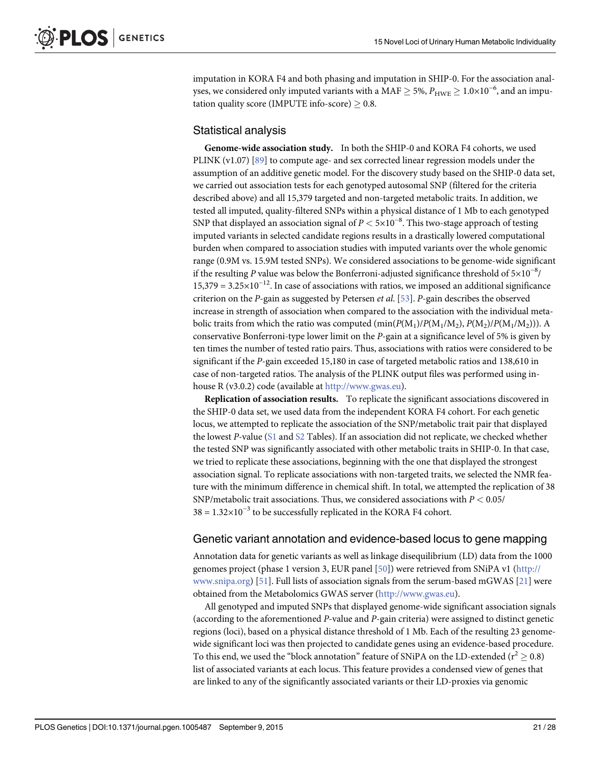<span id="page-20-0"></span>imputation in KORA F4 and both phasing and imputation in SHIP-0. For the association analyses, we considered only imputed variants with a MAF  $\geq$  5%,  $P_{\rm HWE}$   $\geq$  1.0×10<sup>-6</sup>, and an imputation quality score (IMPUTE info-score)  $\geq 0.8$ .

#### Statistical analysis

Genome-wide association study. In both the SHIP-0 and KORA F4 cohorts, we used PLINK (v1.07) [\[89\]](#page-27-0) to compute age- and sex corrected linear regression models under the assumption of an additive genetic model. For the discovery study based on the SHIP-0 data set, we carried out association tests for each genotyped autosomal SNP (filtered for the criteria described above) and all 15,379 targeted and non-targeted metabolic traits. In addition, we tested all imputed, quality-filtered SNPs within a physical distance of 1 Mb to each genotyped SNP that displayed an association signal of  $P < 5 \times 10^{-8}$ . This two-stage approach of testing imputed variants in selected candidate regions results in a drastically lowered computational burden when compared to association studies with imputed variants over the whole genomic range (0.9M vs. 15.9M tested SNPs). We considered associations to be genome-wide significant if the resulting P value was below the Bonferroni-adjusted significance threshold of  $5\times10^{-8}$ /  $15,379 = 3.25 \times 10^{-12}$ . In case of associations with ratios, we imposed an additional significance criterion on the P-gain as suggested by Petersen *et al.* [[53\]](#page-26-0). P-gain describes the observed increase in strength of association when compared to the association with the individual metabolic traits from which the ratio was computed  $(\min(P(M_1)/P(M_1/M_2), P(M_2)/P(M_1/M_2)))$ . A conservative Bonferroni-type lower limit on the P-gain at a significance level of 5% is given by ten times the number of tested ratio pairs. Thus, associations with ratios were considered to be significant if the P-gain exceeded 15,180 in case of targeted metabolic ratios and 138,610 in case of non-targeted ratios. The analysis of the PLINK output files was performed using inhouse R (v3.0.2) code (available at [http://www.gwas.eu\)](http://www.gwas.eu/).

Replication of association results. To replicate the significant associations discovered in the SHIP-0 data set, we used data from the independent KORA F4 cohort. For each genetic locus, we attempted to replicate the association of the SNP/metabolic trait pair that displayed the lowest P-value [\(S1](#page-22-0) and [S2](#page-22-0) Tables). If an association did not replicate, we checked whether the tested SNP was significantly associated with other metabolic traits in SHIP-0. In that case, we tried to replicate these associations, beginning with the one that displayed the strongest association signal. To replicate associations with non-targeted traits, we selected the NMR feature with the minimum difference in chemical shift. In total, we attempted the replication of 38 SNP/metabolic trait associations. Thus, we considered associations with  $P < 0.05$ /  $38 = 1.32 \times 10^{-3}$  to be successfully replicated in the KORA F4 cohort.

#### Genetic variant annotation and evidence-based locus to gene mapping

Annotation data for genetic variants as well as linkage disequilibrium (LD) data from the 1000 genomes project (phase 1 version 3, EUR panel [[50](#page-26-0)]) were retrieved from SNiPA v1 [\(http://](http://www.snipa.org/) [www.snipa.org](http://www.snipa.org/)) [\[51\]](#page-26-0). Full lists of association signals from the serum-based mGWAS [[21\]](#page-24-0) were obtained from the Metabolomics GWAS server [\(http://www.gwas.eu](http://www.gwas.eu/)).

All genotyped and imputed SNPs that displayed genome-wide significant association signals (according to the aforementioned  $P$ -value and  $P$ -gain criteria) were assigned to distinct genetic regions (loci), based on a physical distance threshold of 1 Mb. Each of the resulting 23 genomewide significant loci was then projected to candidate genes using an evidence-based procedure. To this end, we used the "block annotation" feature of SNiPA on the LD-extended ( $r^2 \ge 0.8$ ) list of associated variants at each locus. This feature provides a condensed view of genes that are linked to any of the significantly associated variants or their LD-proxies via genomic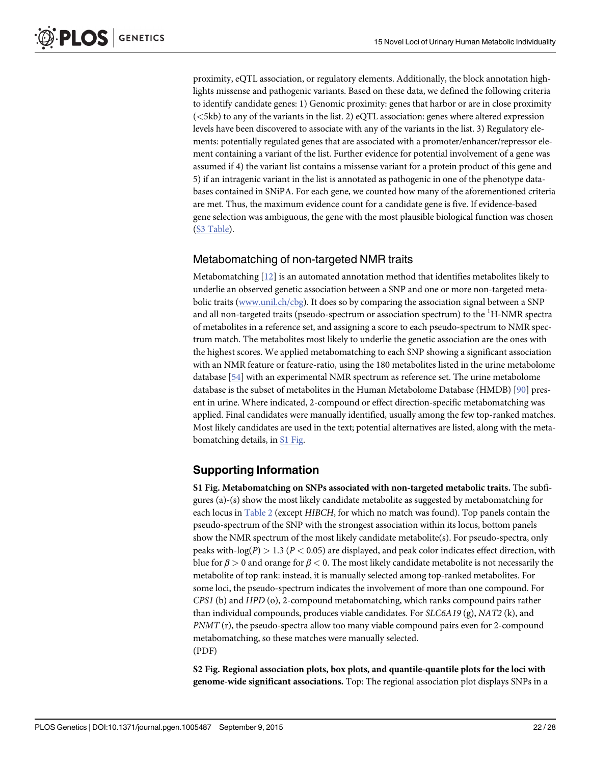<span id="page-21-0"></span>proximity, eQTL association, or regulatory elements. Additionally, the block annotation highlights missense and pathogenic variants. Based on these data, we defined the following criteria to identify candidate genes: 1) Genomic proximity: genes that harbor or are in close proximity (<5kb) to any of the variants in the list. 2) eQTL association: genes where altered expression levels have been discovered to associate with any of the variants in the list. 3) Regulatory elements: potentially regulated genes that are associated with a promoter/enhancer/repressor element containing a variant of the list. Further evidence for potential involvement of a gene was assumed if 4) the variant list contains a missense variant for a protein product of this gene and 5) if an intragenic variant in the list is annotated as pathogenic in one of the phenotype databases contained in SNiPA. For each gene, we counted how many of the aforementioned criteria are met. Thus, the maximum evidence count for a candidate gene is five. If evidence-based gene selection was ambiguous, the gene with the most plausible biological function was chosen [\(S3 Table](#page-22-0)).

### Metabomatching of non-targeted NMR traits

Metabomatching  $[12]$  $[12]$  $[12]$  is an automated annotation method that identifies metabolites likely to underlie an observed genetic association between a SNP and one or more non-targeted metabolic traits [\(www.unil.ch/cbg](http://www.unil.ch/cbg)). It does so by comparing the association signal between a SNP and all non-targeted traits (pseudo-spectrum or association spectrum) to the  $^1\mathrm{H}\text{-}\mathrm{NMR}$  spectra of metabolites in a reference set, and assigning a score to each pseudo-spectrum to NMR spectrum match. The metabolites most likely to underlie the genetic association are the ones with the highest scores. We applied metabomatching to each SNP showing a significant association with an NMR feature or feature-ratio, using the 180 metabolites listed in the urine metabolome database [[54](#page-26-0)] with an experimental NMR spectrum as reference set. The urine metabolome database is the subset of metabolites in the Human Metabolome Database (HMDB) [\[90](#page-27-0)] present in urine. Where indicated, 2-compound or effect direction-specific metabomatching was applied. Final candidates were manually identified, usually among the few top-ranked matches. Most likely candidates are used in the text; potential alternatives are listed, along with the metabomatching details, in S1 Fig.

### Supporting Information

[S1 Fig.](http://www.plosone.org/article/fetchSingleRepresentation.action?uri=info:doi/10.1371/journal.pgen.1005487.s001) Metabomatching on SNPs associated with non-targeted metabolic traits. The subfigures (a)-(s) show the most likely candidate metabolite as suggested by metabomatching for each locus in [Table 2](#page-6-0) (except HIBCH, for which no match was found). Top panels contain the pseudo-spectrum of the SNP with the strongest association within its locus, bottom panels show the NMR spectrum of the most likely candidate metabolite(s). For pseudo-spectra, only peaks with-log( $P$ ) > 1.3 ( $P$  < 0.05) are displayed, and peak color indicates effect direction, with blue for  $\beta > 0$  and orange for  $\beta < 0$ . The most likely candidate metabolite is not necessarily the metabolite of top rank: instead, it is manually selected among top-ranked metabolites. For some loci, the pseudo-spectrum indicates the involvement of more than one compound. For CPS1 (b) and HPD (o), 2-compound metabomatching, which ranks compound pairs rather than individual compounds, produces viable candidates. For  $SLC6A19$  (g),  $NAT2$  (k), and PNMT (r), the pseudo-spectra allow too many viable compound pairs even for 2-compound metabomatching, so these matches were manually selected. (PDF)

[S2 Fig.](http://www.plosone.org/article/fetchSingleRepresentation.action?uri=info:doi/10.1371/journal.pgen.1005487.s002) Regional association plots, box plots, and quantile-quantile plots for the loci with genome-wide significant associations. Top: The regional association plot displays SNPs in a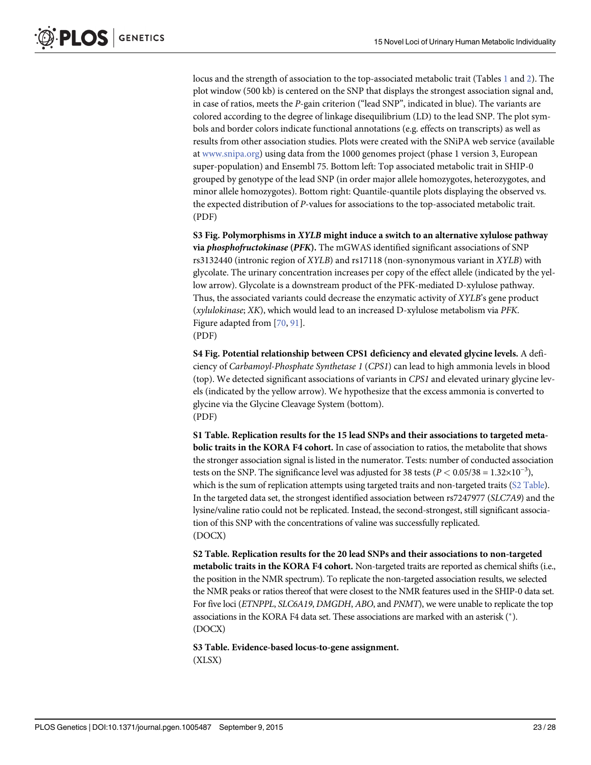<span id="page-22-0"></span>locus and the strength of association to the top-associated metabolic trait (Tables [1](#page-5-0) and [2\)](#page-6-0). The plot window (500 kb) is centered on the SNP that displays the strongest association signal and, in case of ratios, meets the P-gain criterion ("lead SNP", indicated in blue). The variants are colored according to the degree of linkage disequilibrium (LD) to the lead SNP. The plot symbols and border colors indicate functional annotations (e.g. effects on transcripts) as well as results from other association studies. Plots were created with the SNiPA web service (available at [www.snipa.org\)](http://www.snipa.org/) using data from the 1000 genomes project (phase 1 version 3, European super-population) and Ensembl 75. Bottom left: Top associated metabolic trait in SHIP-0 grouped by genotype of the lead SNP (in order major allele homozygotes, heterozygotes, and minor allele homozygotes). Bottom right: Quantile-quantile plots displaying the observed vs. the expected distribution of P-values for associations to the top-associated metabolic trait. (PDF)

[S3 Fig.](http://www.plosone.org/article/fetchSingleRepresentation.action?uri=info:doi/10.1371/journal.pgen.1005487.s003) Polymorphisms in XYLB might induce a switch to an alternative xylulose pathway via phosphofructokinase (PFK). The mGWAS identified significant associations of SNP rs3132440 (intronic region of XYLB) and rs17118 (non-synonymous variant in XYLB) with glycolate. The urinary concentration increases per copy of the effect allele (indicated by the yellow arrow). Glycolate is a downstream product of the PFK-mediated D-xylulose pathway. Thus, the associated variants could decrease the enzymatic activity of XYLB's gene product (xylulokinase; XK), which would lead to an increased D-xylulose metabolism via PFK. Figure adapted from [[70](#page-26-0), [91](#page-27-0)]. (PDF)

[S4 Fig.](http://www.plosone.org/article/fetchSingleRepresentation.action?uri=info:doi/10.1371/journal.pgen.1005487.s004) Potential relationship between CPS1 deficiency and elevated glycine levels. A deficiency of Carbamoyl-Phosphate Synthetase 1 (CPS1) can lead to high ammonia levels in blood (top). We detected significant associations of variants in CPS1 and elevated urinary glycine levels (indicated by the yellow arrow). We hypothesize that the excess ammonia is converted to glycine via the Glycine Cleavage System (bottom). (PDF)

[S1 Table](http://www.plosone.org/article/fetchSingleRepresentation.action?uri=info:doi/10.1371/journal.pgen.1005487.s005). Replication results for the 15 lead SNPs and their associations to targeted metabolic traits in the KORA F4 cohort. In case of association to ratios, the metabolite that shows the stronger association signal is listed in the numerator. Tests: number of conducted association tests on the SNP. The significance level was adjusted for 38 tests ( $P < 0.05/38 = 1.32 \times 10^{-3}$ ), which is the sum of replication attempts using targeted traits and non-targeted traits (S2 Table). In the targeted data set, the strongest identified association between rs7247977 (SLC7A9) and the lysine/valine ratio could not be replicated. Instead, the second-strongest, still significant association of this SNP with the concentrations of valine was successfully replicated. (DOCX)

[S2 Table](http://www.plosone.org/article/fetchSingleRepresentation.action?uri=info:doi/10.1371/journal.pgen.1005487.s006). Replication results for the 20 lead SNPs and their associations to non-targeted metabolic traits in the KORA F4 cohort. Non-targeted traits are reported as chemical shifts (i.e., the position in the NMR spectrum). To replicate the non-targeted association results, we selected the NMR peaks or ratios thereof that were closest to the NMR features used in the SHIP-0 data set. For five loci (ETNPPL, SLC6A19, DMGDH, ABO, and PNMT), we were unable to replicate the top associations in the KORA F4 data set. These associations are marked with an asterisk  $(*)$ . (DOCX)

[S3 Table](http://www.plosone.org/article/fetchSingleRepresentation.action?uri=info:doi/10.1371/journal.pgen.1005487.s007). Evidence-based locus-to-gene assignment. (XLSX)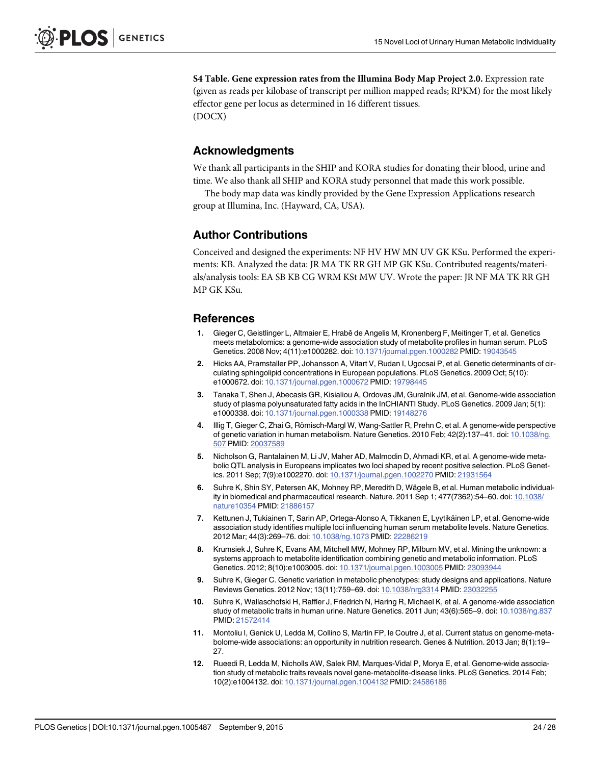<span id="page-23-0"></span>[S4 Table](http://www.plosone.org/article/fetchSingleRepresentation.action?uri=info:doi/10.1371/journal.pgen.1005487.s008). Gene expression rates from the Illumina Body Map Project 2.0. Expression rate (given as reads per kilobase of transcript per million mapped reads; RPKM) for the most likely effector gene per locus as determined in 16 different tissues. (DOCX)

#### Acknowledgments

We thank all participants in the SHIP and KORA studies for donating their blood, urine and time. We also thank all SHIP and KORA study personnel that made this work possible.

The body map data was kindly provided by the Gene Expression Applications research group at Illumina, Inc. (Hayward, CA, USA).

#### Author Contributions

Conceived and designed the experiments: NF HV HW MN UV GK KSu. Performed the experiments: KB. Analyzed the data: JR MA TK RR GH MP GK KSu. Contributed reagents/materials/analysis tools: EA SB KB CG WRM KSt MW UV. Wrote the paper: JR NF MA TK RR GH MP GK KSu.

#### References

- [1.](#page-1-0) Gieger C, Geistlinger L, Altmaier E, Hrabě de Angelis M, Kronenberg F, Meitinger T, et al. Genetics meets metabolomics: a genome-wide association study of metabolite profiles in human serum. PLoS Genetics. 2008 Nov; 4(11):e1000282. doi: [10.1371/journal.pgen.1000282](http://dx.doi.org/10.1371/journal.pgen.1000282) PMID: [19043545](http://www.ncbi.nlm.nih.gov/pubmed/19043545)
- [2.](#page-1-0) Hicks AA, Pramstaller PP, Johansson A, Vitart V, Rudan I, Ugocsai P, et al. Genetic determinants of circulating sphingolipid concentrations in European populations. PLoS Genetics. 2009 Oct; 5(10): e1000672. doi: [10.1371/journal.pgen.1000672](http://dx.doi.org/10.1371/journal.pgen.1000672) PMID: [19798445](http://www.ncbi.nlm.nih.gov/pubmed/19798445)
- 3. Tanaka T, Shen J, Abecasis GR, Kisialiou A, Ordovas JM, Guralnik JM, et al. Genome-wide association study of plasma polyunsaturated fatty acids in the InCHIANTI Study. PLoS Genetics. 2009 Jan; 5(1): e1000338. doi: [10.1371/journal.pgen.1000338](http://dx.doi.org/10.1371/journal.pgen.1000338) PMID: [19148276](http://www.ncbi.nlm.nih.gov/pubmed/19148276)
- [4.](#page-4-0) Illig T, Gieger C, Zhai G, Römisch-Margl W, Wang-Sattler R, Prehn C, et al. A genome-wide perspective of genetic variation in human metabolism. Nature Genetics. 2010 Feb; 42(2):137–41. doi: [10.1038/ng.](http://dx.doi.org/10.1038/ng.507) [507](http://dx.doi.org/10.1038/ng.507) PMID: [20037589](http://www.ncbi.nlm.nih.gov/pubmed/20037589)
- [5.](#page-2-0) Nicholson G, Rantalainen M, Li JV, Maher AD, Malmodin D, Ahmadi KR, et al. A genome-wide metabolic QTL analysis in Europeans implicates two loci shaped by recent positive selection. PLoS Genetics. 2011 Sep; 7(9):e1002270. doi: [10.1371/journal.pgen.1002270](http://dx.doi.org/10.1371/journal.pgen.1002270) PMID: [21931564](http://www.ncbi.nlm.nih.gov/pubmed/21931564)
- [6.](#page-4-0) Suhre K, Shin SY, Petersen AK, Mohney RP, Meredith D, Wägele B, et al. Human metabolic individuality in biomedical and pharmaceutical research. Nature. 2011 Sep 1; 477(7362):54–60. doi: [10.1038/](http://dx.doi.org/10.1038/nature10354) [nature10354](http://dx.doi.org/10.1038/nature10354) PMID: [21886157](http://www.ncbi.nlm.nih.gov/pubmed/21886157)
- 7. Kettunen J, Tukiainen T, Sarin AP, Ortega-Alonso A, Tikkanen E, Lyytikäinen LP, et al. Genome-wide association study identifies multiple loci influencing human serum metabolite levels. Nature Genetics. 2012 Mar; 44(3):269–76. doi: [10.1038/ng.1073](http://dx.doi.org/10.1038/ng.1073) PMID: [22286219](http://www.ncbi.nlm.nih.gov/pubmed/22286219)
- [8.](#page-1-0) Krumsiek J, Suhre K, Evans AM, Mitchell MW, Mohney RP, Milburn MV, et al. Mining the unknown: a systems approach to metabolite identification combining genetic and metabolic information. PLoS Genetics. 2012; 8(10):e1003005. doi: [10.1371/journal.pgen.1003005](http://dx.doi.org/10.1371/journal.pgen.1003005) PMID: [23093944](http://www.ncbi.nlm.nih.gov/pubmed/23093944)
- [9.](#page-1-0) Suhre K, Gieger C. Genetic variation in metabolic phenotypes: study designs and applications. Nature Reviews Genetics. 2012 Nov; 13(11):759–69. doi: [10.1038/nrg3314](http://dx.doi.org/10.1038/nrg3314) PMID: [23032255](http://www.ncbi.nlm.nih.gov/pubmed/23032255)
- [10.](#page-2-0) Suhre K, Wallaschofski H, Raffler J, Friedrich N, Haring R, Michael K, et al. A genome-wide association study of metabolic traits in human urine. Nature Genetics. 2011 Jun; 43(6):565–9. doi: [10.1038/ng.837](http://dx.doi.org/10.1038/ng.837) PMID: [21572414](http://www.ncbi.nlm.nih.gov/pubmed/21572414)
- [11.](#page-2-0) Montoliu I, Genick U, Ledda M, Collino S, Martin FP, le Coutre J, et al. Current status on genome-metabolome-wide associations: an opportunity in nutrition research. Genes & Nutrition. 2013 Jan; 8(1):19– 27.
- [12.](#page-2-0) Rueedi R, Ledda M, Nicholls AW, Salek RM, Marques-Vidal P, Morya E, et al. Genome-wide association study of metabolic traits reveals novel gene-metabolite-disease links. PLoS Genetics. 2014 Feb; 10(2):e1004132. doi: [10.1371/journal.pgen.1004132](http://dx.doi.org/10.1371/journal.pgen.1004132) PMID: [24586186](http://www.ncbi.nlm.nih.gov/pubmed/24586186)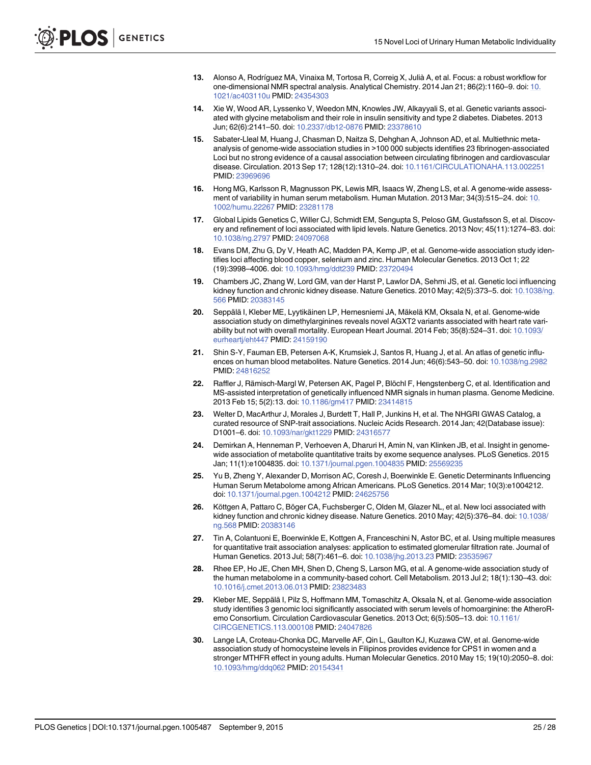- <span id="page-24-0"></span>[13.](#page-2-0) Alonso A, Rodríguez MA, Vinaixa M, Tortosa R, Correig X, Julià A, et al. Focus: a robust workflow for one-dimensional NMR spectral analysis. Analytical Chemistry. 2014 Jan 21; 86(2):1160–9. doi: [10.](http://dx.doi.org/10.1021/ac403110u) [1021/ac403110u](http://dx.doi.org/10.1021/ac403110u) PMID: [24354303](http://www.ncbi.nlm.nih.gov/pubmed/24354303)
- [14.](#page-7-0) Xie W, Wood AR, Lyssenko V, Weedon MN, Knowles JW, Alkayyali S, et al. Genetic variants associated with glycine metabolism and their role in insulin sensitivity and type 2 diabetes. Diabetes. 2013 Jun; 62(6):2141–50. doi: [10.2337/db12-0876](http://dx.doi.org/10.2337/db12-0876) PMID: [23378610](http://www.ncbi.nlm.nih.gov/pubmed/23378610)
- [15.](#page-8-0) Sabater-Lleal M, Huang J, Chasman D, Naitza S, Dehghan A, Johnson AD, et al. Multiethnic metaanalysis of genome-wide association studies in >100 000 subjects identifies 23 fibrinogen-associated Loci but no strong evidence of a causal association between circulating fibrinogen and cardiovascular disease. Circulation. 2013 Sep 17; 128(12):1310–24. doi: [10.1161/CIRCULATIONAHA.113.002251](http://dx.doi.org/10.1161/CIRCULATIONAHA.113.002251) PMID: [23969696](http://www.ncbi.nlm.nih.gov/pubmed/23969696)
- [16.](#page-9-0) Hong MG, Karlsson R, Magnusson PK, Lewis MR, Isaacs W, Zheng LS, et al. A genome-wide assessment of variability in human serum metabolism. Human Mutation. 2013 Mar; 34(3):515–24. doi: [10.](http://dx.doi.org/10.1002/humu.22267) [1002/humu.22267](http://dx.doi.org/10.1002/humu.22267) PMID: [23281178](http://www.ncbi.nlm.nih.gov/pubmed/23281178)
- [17.](#page-8-0) Global Lipids Genetics C, Willer CJ, Schmidt EM, Sengupta S, Peloso GM, Gustafsson S, et al. Discovery and refinement of loci associated with lipid levels. Nature Genetics. 2013 Nov; 45(11):1274–83. doi: [10.1038/ng.2797](http://dx.doi.org/10.1038/ng.2797) PMID: [24097068](http://www.ncbi.nlm.nih.gov/pubmed/24097068)
- [18.](#page-9-0) Evans DM, Zhu G, Dy V, Heath AC, Madden PA, Kemp JP, et al. Genome-wide association study identifies loci affecting blood copper, selenium and zinc. Human Molecular Genetics. 2013 Oct 1; 22 (19):3998–4006. doi: [10.1093/hmg/ddt239](http://dx.doi.org/10.1093/hmg/ddt239) PMID: [23720494](http://www.ncbi.nlm.nih.gov/pubmed/23720494)
- [19.](#page-8-0) Chambers JC, Zhang W, Lord GM, van der Harst P, Lawlor DA, Sehmi JS, et al. Genetic loci influencing kidney function and chronic kidney disease. Nature Genetics. 2010 May; 42(5):373–5. doi: [10.1038/ng.](http://dx.doi.org/10.1038/ng.566) [566](http://dx.doi.org/10.1038/ng.566) PMID: [20383145](http://www.ncbi.nlm.nih.gov/pubmed/20383145)
- [20.](#page-9-0) Seppälä I, Kleber ME, Lyytikäinen LP, Hernesniemi JA, Mäkelä KM, Oksala N, et al. Genome-wide association study on dimethylarginines reveals novel AGXT2 variants associated with heart rate variability but not with overall mortality. European Heart Journal. 2014 Feb; 35(8):524–31. doi: [10.1093/](http://dx.doi.org/10.1093/eurheartj/eht447) [eurheartj/eht447](http://dx.doi.org/10.1093/eurheartj/eht447) PMID: [24159190](http://www.ncbi.nlm.nih.gov/pubmed/24159190)
- [21.](#page-4-0) Shin S-Y, Fauman EB, Petersen A-K, Krumsiek J, Santos R, Huang J, et al. An atlas of genetic influences on human blood metabolites. Nature Genetics. 2014 Jun; 46(6):543–50. doi: [10.1038/ng.2982](http://dx.doi.org/10.1038/ng.2982) PMID: [24816252](http://www.ncbi.nlm.nih.gov/pubmed/24816252)
- [22.](#page-4-0) Raffler J, Rämisch-Margl W, Petersen AK, Pagel P, Blöchl F, Hengstenberg C, et al. Identification and MS-assisted interpretation of genetically influenced NMR signals in human plasma. Genome Medicine. 2013 Feb 15; 5(2):13. doi: [10.1186/gm417](http://dx.doi.org/10.1186/gm417) PMID: [23414815](http://www.ncbi.nlm.nih.gov/pubmed/23414815)
- [23.](#page-13-0) Welter D, MacArthur J, Morales J, Burdett T, Hall P, Junkins H, et al. The NHGRI GWAS Catalog, a curated resource of SNP-trait associations. Nucleic Acids Research. 2014 Jan; 42(Database issue): D1001–6. doi: [10.1093/nar/gkt1229](http://dx.doi.org/10.1093/nar/gkt1229) PMID: [24316577](http://www.ncbi.nlm.nih.gov/pubmed/24316577)
- [24.](#page-7-0) Demirkan A, Henneman P, Verhoeven A, Dharuri H, Amin N, van Klinken JB, et al. Insight in genomewide association of metabolite quantitative traits by exome sequence analyses. PLoS Genetics. 2015 Jan; 11(1):e1004835. doi: [10.1371/journal.pgen.1004835](http://dx.doi.org/10.1371/journal.pgen.1004835) PMID: [25569235](http://www.ncbi.nlm.nih.gov/pubmed/25569235)
- [25.](#page-8-0) Yu B, Zheng Y, Alexander D, Morrison AC, Coresh J, Boerwinkle E. Genetic Determinants Influencing Human Serum Metabolome among African Americans. PLoS Genetics. 2014 Mar; 10(3):e1004212. doi: [10.1371/journal.pgen.1004212](http://dx.doi.org/10.1371/journal.pgen.1004212) PMID: [24625756](http://www.ncbi.nlm.nih.gov/pubmed/24625756)
- [26.](#page-8-0) Köttgen A, Pattaro C, Böger CA, Fuchsberger C, Olden M, Glazer NL, et al. New loci associated with kidney function and chronic kidney disease. Nature Genetics. 2010 May; 42(5):376–84. doi: [10.1038/](http://dx.doi.org/10.1038/ng.568) [ng.568](http://dx.doi.org/10.1038/ng.568) PMID: [20383146](http://www.ncbi.nlm.nih.gov/pubmed/20383146)
- [27.](#page-8-0) Tin A, Colantuoni E, Boerwinkle E, Kottgen A, Franceschini N, Astor BC, et al. Using multiple measures for quantitative trait association analyses: application to estimated glomerular filtration rate. Journal of Human Genetics. 2013 Jul; 58(7):461-6. doi: [10.1038/jhg.2013.23](http://dx.doi.org/10.1038/jhg.2013.23) PMID: [23535967](http://www.ncbi.nlm.nih.gov/pubmed/23535967)
- [28.](#page-8-0) Rhee EP, Ho JE, Chen MH, Shen D, Cheng S, Larson MG, et al. A genome-wide association study of the human metabolome in a community-based cohort. Cell Metabolism. 2013 Jul 2; 18(1):130–43. doi: [10.1016/j.cmet.2013.06.013](http://dx.doi.org/10.1016/j.cmet.2013.06.013) PMID: [23823483](http://www.ncbi.nlm.nih.gov/pubmed/23823483)
- [29.](#page-8-0) Kleber ME, Seppälä I, Pilz S, Hoffmann MM, Tomaschitz A, Oksala N, et al. Genome-wide association study identifies 3 genomic loci significantly associated with serum levels of homoarginine: the AtheroRemo Consortium. Circulation Cardiovascular Genetics. 2013 Oct; 6(5):505–13. doi: [10.1161/](http://dx.doi.org/10.1161/CIRCGENETICS.113.000108) [CIRCGENETICS.113.000108](http://dx.doi.org/10.1161/CIRCGENETICS.113.000108) PMID: [24047826](http://www.ncbi.nlm.nih.gov/pubmed/24047826)
- [30.](#page-8-0) Lange LA, Croteau-Chonka DC, Marvelle AF, Qin L, Gaulton KJ, Kuzawa CW, et al. Genome-wide association study of homocysteine levels in Filipinos provides evidence for CPS1 in women and a stronger MTHFR effect in young adults. Human Molecular Genetics. 2010 May 15; 19(10):2050–8. doi: [10.1093/hmg/ddq062](http://dx.doi.org/10.1093/hmg/ddq062) PMID: [20154341](http://www.ncbi.nlm.nih.gov/pubmed/20154341)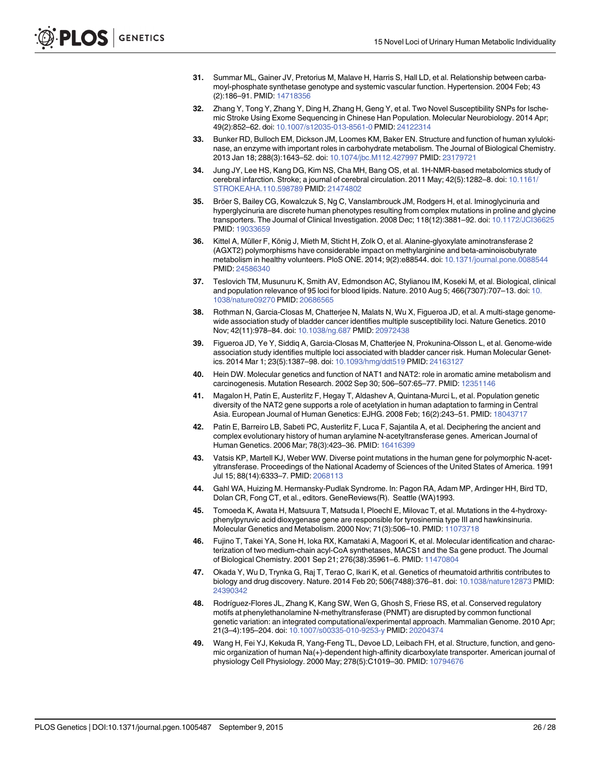- <span id="page-25-0"></span>[31.](#page-8-0) Summar ML, Gainer JV, Pretorius M, Malave H, Harris S, Hall LD, et al. Relationship between carbamoyl-phosphate synthetase genotype and systemic vascular function. Hypertension. 2004 Feb; 43 (2):186–91. PMID: [14718356](http://www.ncbi.nlm.nih.gov/pubmed/14718356)
- [32.](#page-8-0) Zhang Y, Tong Y, Zhang Y, Ding H, Zhang H, Geng Y, et al. Two Novel Susceptibility SNPs for Ischemic Stroke Using Exome Sequencing in Chinese Han Population. Molecular Neurobiology. 2014 Apr; 49(2):852–62. doi: [10.1007/s12035-013-8561-0](http://dx.doi.org/10.1007/s12035-013-8561-0) PMID: [24122314](http://www.ncbi.nlm.nih.gov/pubmed/24122314)
- [33.](#page-8-0) Bunker RD, Bulloch EM, Dickson JM, Loomes KM, Baker EN. Structure and function of human xylulokinase, an enzyme with important roles in carbohydrate metabolism. The Journal of Biological Chemistry. 2013 Jan 18; 288(3):1643–52. doi: [10.1074/jbc.M112.427997](http://dx.doi.org/10.1074/jbc.M112.427997) PMID: [23179721](http://www.ncbi.nlm.nih.gov/pubmed/23179721)
- [34.](#page-8-0) Jung JY, Lee HS, Kang DG, Kim NS, Cha MH, Bang OS, et al. 1H-NMR-based metabolomics study of cerebral infarction. Stroke; a journal of cerebral circulation. 2011 May; 42(5):1282–8. doi: [10.1161/](http://dx.doi.org/10.1161/STROKEAHA.110.598789) [STROKEAHA.110.598789](http://dx.doi.org/10.1161/STROKEAHA.110.598789) PMID: [21474802](http://www.ncbi.nlm.nih.gov/pubmed/21474802)
- [35.](#page-8-0) Bröer S, Bailey CG, Kowalczuk S, Ng C, Vanslambrouck JM, Rodgers H, et al. Iminoglycinuria and hyperglycinuria are discrete human phenotypes resulting from complex mutations in proline and glycine transporters. The Journal of Clinical Investigation. 2008 Dec; 118(12):3881–92. doi: [10.1172/JCI36625](http://dx.doi.org/10.1172/JCI36625) PMID: [19033659](http://www.ncbi.nlm.nih.gov/pubmed/19033659)
- [36.](#page-9-0) Kittel A, Müller F, König J, Mieth M, Sticht H, Zolk O, et al. Alanine-glyoxylate aminotransferase 2 (AGXT2) polymorphisms have considerable impact on methylarginine and beta-aminoisobutyrate metabolism in healthy volunteers. PloS ONE. 2014; 9(2):e88544. doi: [10.1371/journal.pone.0088544](http://dx.doi.org/10.1371/journal.pone.0088544) PMID: [24586340](http://www.ncbi.nlm.nih.gov/pubmed/24586340)
- [37.](#page-9-0) Teslovich TM, Musunuru K, Smith AV, Edmondson AC, Stylianou IM, Koseki M, et al. Biological, clinical and population relevance of 95 loci for blood lipids. Nature. 2010 Aug 5; 466(7307):707–13. doi: [10.](http://dx.doi.org/10.1038/nature09270) [1038/nature09270](http://dx.doi.org/10.1038/nature09270) PMID: [20686565](http://www.ncbi.nlm.nih.gov/pubmed/20686565)
- [38.](#page-9-0) Rothman N, Garcia-Closas M, Chatterjee N, Malats N, Wu X, Figueroa JD, et al. A multi-stage genomewide association study of bladder cancer identifies multiple susceptibility loci. Nature Genetics. 2010 Nov; 42(11):978–84. doi: [10.1038/ng.687](http://dx.doi.org/10.1038/ng.687) PMID: [20972438](http://www.ncbi.nlm.nih.gov/pubmed/20972438)
- [39.](#page-9-0) Figueroa JD, Ye Y, Siddiq A, Garcia-Closas M, Chatterjee N, Prokunina-Olsson L, et al. Genome-wide association study identifies multiple loci associated with bladder cancer risk. Human Molecular Genetics. 2014 Mar 1; 23(5):1387–98. doi: [10.1093/hmg/ddt519](http://dx.doi.org/10.1093/hmg/ddt519) PMID: [24163127](http://www.ncbi.nlm.nih.gov/pubmed/24163127)
- [40.](#page-9-0) Hein DW. Molecular genetics and function of NAT1 and NAT2: role in aromatic amine metabolism and carcinogenesis. Mutation Research. 2002 Sep 30; 506–507:65–77. PMID: [12351146](http://www.ncbi.nlm.nih.gov/pubmed/12351146)
- 41. Magalon H, Patin E, Austerlitz F, Hegay T, Aldashev A, Quintana-Murci L, et al. Population genetic diversity of the NAT2 gene supports a role of acetylation in human adaptation to farming in Central Asia. European Journal of Human Genetics: EJHG. 2008 Feb; 16(2):243–51. PMID: [18043717](http://www.ncbi.nlm.nih.gov/pubmed/18043717)
- 42. Patin E, Barreiro LB, Sabeti PC, Austerlitz F, Luca F, Sajantila A, et al. Deciphering the ancient and complex evolutionary history of human arylamine N-acetyltransferase genes. American Journal of Human Genetics. 2006 Mar; 78(3):423–36. PMID: [16416399](http://www.ncbi.nlm.nih.gov/pubmed/16416399)
- [43.](#page-9-0) Vatsis KP, Martell KJ, Weber WW. Diverse point mutations in the human gene for polymorphic N-acetyltransferase. Proceedings of the National Academy of Sciences of the United States of America. 1991 Jul 15; 88(14):6333–7. PMID: [2068113](http://www.ncbi.nlm.nih.gov/pubmed/2068113)
- [44.](#page-9-0) Gahl WA, Huizing M. Hermansky-Pudlak Syndrome. In: Pagon RA, Adam MP, Ardinger HH, Bird TD, Dolan CR, Fong CT, et al., editors. GeneReviews(R). Seattle (WA)1993.
- [45.](#page-10-0) Tomoeda K, Awata H, Matsuura T, Matsuda I, Ploechl E, Milovac T, et al. Mutations in the 4-hydroxyphenylpyruvic acid dioxygenase gene are responsible for tyrosinemia type III and hawkinsinuria. Molecular Genetics and Metabolism. 2000 Nov; 71(3):506–10. PMID: [11073718](http://www.ncbi.nlm.nih.gov/pubmed/11073718)
- [46.](#page-10-0) Fujino T, Takei YA, Sone H, Ioka RX, Kamataki A, Magoori K, et al. Molecular identification and characterization of two medium-chain acyl-CoA synthetases, MACS1 and the Sa gene product. The Journal of Biological Chemistry. 2001 Sep 21; 276(38):35961-6. PMID: [11470804](http://www.ncbi.nlm.nih.gov/pubmed/11470804)
- [47.](#page-10-0) Okada Y, Wu D, Trynka G, Raj T, Terao C, Ikari K, et al. Genetics of rheumatoid arthritis contributes to biology and drug discovery. Nature. 2014 Feb 20; 506(7488):376–81. doi: [10.1038/nature12873](http://dx.doi.org/10.1038/nature12873) PMID: [24390342](http://www.ncbi.nlm.nih.gov/pubmed/24390342)
- [48.](#page-10-0) Rodríguez-Flores JL, Zhang K, Kang SW, Wen G, Ghosh S, Friese RS, et al. Conserved regulatory motifs at phenylethanolamine N-methyltransferase (PNMT) are disrupted by common functional genetic variation: an integrated computational/experimental approach. Mammalian Genome. 2010 Apr; 21(3–4):195–204. doi: [10.1007/s00335-010-9253-y](http://dx.doi.org/10.1007/s00335-010-9253-y) PMID: [20204374](http://www.ncbi.nlm.nih.gov/pubmed/20204374)
- [49.](#page-11-0) Wang H, Fei YJ, Kekuda R, Yang-Feng TL, Devoe LD, Leibach FH, et al. Structure, function, and genomic organization of human Na(+)-dependent high-affinity dicarboxylate transporter. American journal of physiology Cell Physiology. 2000 May; 278(5):C1019–30. PMID: [10794676](http://www.ncbi.nlm.nih.gov/pubmed/10794676)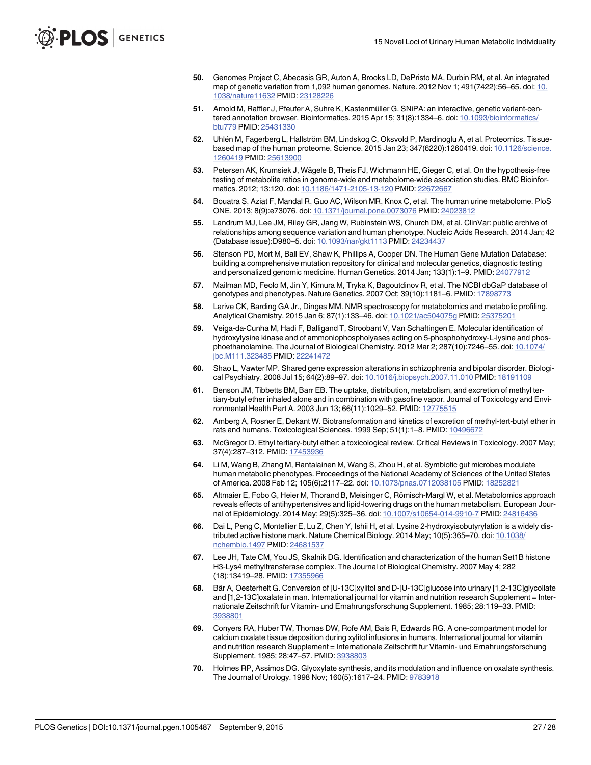- <span id="page-26-0"></span>[50.](#page-11-0) Genomes Project C, Abecasis GR, Auton A, Brooks LD, DePristo MA, Durbin RM, et al. An integrated map of genetic variation from 1,092 human genomes. Nature. 2012 Nov 1; 491(7422):56–65. doi: [10.](http://dx.doi.org/10.1038/nature11632) [1038/nature11632](http://dx.doi.org/10.1038/nature11632) PMID: [23128226](http://www.ncbi.nlm.nih.gov/pubmed/23128226)
- [51.](#page-7-0) Arnold M, Raffler J, Pfeufer A, Suhre K, Kastenmüller G. SNiPA: an interactive, genetic variant-centered annotation browser. Bioinformatics. 2015 Apr 15; 31(8):1334–6. doi: [10.1093/bioinformatics/](http://dx.doi.org/10.1093/bioinformatics/btu779) [btu779](http://dx.doi.org/10.1093/bioinformatics/btu779) PMID: [25431330](http://www.ncbi.nlm.nih.gov/pubmed/25431330)
- [52.](#page-11-0) Uhlén M, Fagerberg L, Hallström BM, Lindskog C, Oksvold P, Mardinoglu A, et al. Proteomics. Tissuebased map of the human proteome. Science. 2015 Jan 23; 347(6220):1260419. doi: [10.1126/science.](http://dx.doi.org/10.1126/science.1260419) [1260419](http://dx.doi.org/10.1126/science.1260419) PMID: [25613900](http://www.ncbi.nlm.nih.gov/pubmed/25613900)
- [53.](#page-4-0) Petersen AK, Krumsiek J, Wägele B, Theis FJ, Wichmann HE, Gieger C, et al. On the hypothesis-free testing of metabolite ratios in genome-wide and metabolome-wide association studies. BMC Bioinformatics. 2012; 13:120. doi: [10.1186/1471-2105-13-120](http://dx.doi.org/10.1186/1471-2105-13-120) PMID: [22672667](http://www.ncbi.nlm.nih.gov/pubmed/22672667)
- [54.](#page-12-0) Bouatra S, Aziat F, Mandal R, Guo AC, Wilson MR, Knox C, et al. The human urine metabolome. PloS ONE. 2013; 8(9):e73076. doi: [10.1371/journal.pone.0073076](http://dx.doi.org/10.1371/journal.pone.0073076) PMID: [24023812](http://www.ncbi.nlm.nih.gov/pubmed/24023812)
- [55.](#page-13-0) Landrum MJ, Lee JM, Riley GR, Jang W, Rubinstein WS, Church DM, et al. ClinVar: public archive of relationships among sequence variation and human phenotype. Nucleic Acids Research. 2014 Jan; 42 (Database issue):D980–5. doi: [10.1093/nar/gkt1113](http://dx.doi.org/10.1093/nar/gkt1113) PMID: [24234437](http://www.ncbi.nlm.nih.gov/pubmed/24234437)
- [56.](#page-13-0) Stenson PD, Mort M, Ball EV, Shaw K, Phillips A, Cooper DN. The Human Gene Mutation Database: building a comprehensive mutation repository for clinical and molecular genetics, diagnostic testing and personalized genomic medicine. Human Genetics. 2014 Jan; 133(1):1–9. PMID: [24077912](http://www.ncbi.nlm.nih.gov/pubmed/24077912)
- [57.](#page-13-0) Mailman MD, Feolo M, Jin Y, Kimura M, Tryka K, Bagoutdinov R, et al. The NCBI dbGaP database of genotypes and phenotypes. Nature Genetics. 2007 Oct; 39(10):1181–6. PMID: [17898773](http://www.ncbi.nlm.nih.gov/pubmed/17898773)
- [58.](#page-14-0) Larive CK, Barding GA Jr., Dinges MM. NMR spectroscopy for metabolomics and metabolic profiling. Analytical Chemistry. 2015 Jan 6; 87(1):133–46. doi: [10.1021/ac504075g](http://dx.doi.org/10.1021/ac504075g) PMID: [25375201](http://www.ncbi.nlm.nih.gov/pubmed/25375201)
- [59.](#page-16-0) Veiga-da-Cunha M, Hadi F, Balligand T, Stroobant V, Van Schaftingen E. Molecular identification of hydroxylysine kinase and of ammoniophospholyases acting on 5-phosphohydroxy-L-lysine and phosphoethanolamine. The Journal of Biological Chemistry. 2012 Mar 2; 287(10):7246–55. doi: [10.1074/](http://dx.doi.org/10.1074/jbc.M111.323485) [jbc.M111.323485](http://dx.doi.org/10.1074/jbc.M111.323485) PMID: [22241472](http://www.ncbi.nlm.nih.gov/pubmed/22241472)
- [60.](#page-16-0) Shao L, Vawter MP. Shared gene expression alterations in schizophrenia and bipolar disorder. Biological Psychiatry. 2008 Jul 15; 64(2):89–97. doi: [10.1016/j.biopsych.2007.11.010](http://dx.doi.org/10.1016/j.biopsych.2007.11.010) PMID: [18191109](http://www.ncbi.nlm.nih.gov/pubmed/18191109)
- [61.](#page-16-0) Benson JM, Tibbetts BM, Barr EB. The uptake, distribution, metabolism, and excretion of methyl tertiary-butyl ether inhaled alone and in combination with gasoline vapor. Journal of Toxicology and Environmental Health Part A. 2003 Jun 13; 66(11):1029–52. PMID: [12775515](http://www.ncbi.nlm.nih.gov/pubmed/12775515)
- 62. Amberg A, Rosner E, Dekant W. Biotransformation and kinetics of excretion of methyl-tert-butyl ether in rats and humans. Toxicological Sciences. 1999 Sep; 51(1):1-8. PMID: [10496672](http://www.ncbi.nlm.nih.gov/pubmed/10496672)
- [63.](#page-16-0) McGregor D. Ethyl tertiary-butyl ether: a toxicological review. Critical Reviews in Toxicology. 2007 May; 37(4):287-312. PMID: [17453936](http://www.ncbi.nlm.nih.gov/pubmed/17453936)
- [64.](#page-16-0) Li M, Wang B, Zhang M, Rantalainen M, Wang S, Zhou H, et al. Symbiotic gut microbes modulate human metabolic phenotypes. Proceedings of the National Academy of Sciences of the United States of America. 2008 Feb 12; 105(6):2117–22. doi: [10.1073/pnas.0712038105](http://dx.doi.org/10.1073/pnas.0712038105) PMID: [18252821](http://www.ncbi.nlm.nih.gov/pubmed/18252821)
- [65.](#page-16-0) Altmaier E, Fobo G, Heier M, Thorand B, Meisinger C, Römisch-Margl W, et al. Metabolomics approach reveals effects of antihypertensives and lipid-lowering drugs on the human metabolism. European Jour-nal of Epidemiology. 2014 May; 29(5):325-36. doi: [10.1007/s10654-014-9910-7](http://dx.doi.org/10.1007/s10654-014-9910-7) PMID: [24816436](http://www.ncbi.nlm.nih.gov/pubmed/24816436)
- [66.](#page-16-0) Dai L, Peng C, Montellier E, Lu Z, Chen Y, Ishii H, et al. Lysine 2-hydroxyisobutyrylation is a widely distributed active histone mark. Nature Chemical Biology. 2014 May; 10(5):365–70. doi: [10.1038/](http://dx.doi.org/10.1038/nchembio.1497) [nchembio.1497](http://dx.doi.org/10.1038/nchembio.1497) PMID: [24681537](http://www.ncbi.nlm.nih.gov/pubmed/24681537)
- [67.](#page-16-0) Lee JH, Tate CM, You JS, Skalnik DG. Identification and characterization of the human Set1B histone H3-Lys4 methyltransferase complex. The Journal of Biological Chemistry. 2007 May 4; 282 (18):13419–28. PMID: [17355966](http://www.ncbi.nlm.nih.gov/pubmed/17355966)
- [68.](#page-16-0) Bär A, Oesterhelt G. Conversion of [U-13C]xylitol and D-[U-13C]glucose into urinary [1,2-13C]glycollate and [1,2-13C]oxalate in man. International journal for vitamin and nutrition research Supplement = Internationale Zeitschrift fur Vitamin- und Ernahrungsforschung Supplement. 1985; 28:119–33. PMID: [3938801](http://www.ncbi.nlm.nih.gov/pubmed/3938801)
- [69.](#page-16-0) Conyers RA, Huber TW, Thomas DW, Rofe AM, Bais R, Edwards RG. A one-compartment model for calcium oxalate tissue deposition during xylitol infusions in humans. International journal for vitamin and nutrition research Supplement = Internationale Zeitschrift fur Vitamin- und Ernahrungsforschung Supplement. 1985; 28:47–57. PMID: [3938803](http://www.ncbi.nlm.nih.gov/pubmed/3938803)
- [70.](#page-16-0) Holmes RP, Assimos DG. Glyoxylate synthesis, and its modulation and influence on oxalate synthesis. The Journal of Urology. 1998 Nov; 160(5):1617–24. PMID: [9783918](http://www.ncbi.nlm.nih.gov/pubmed/9783918)